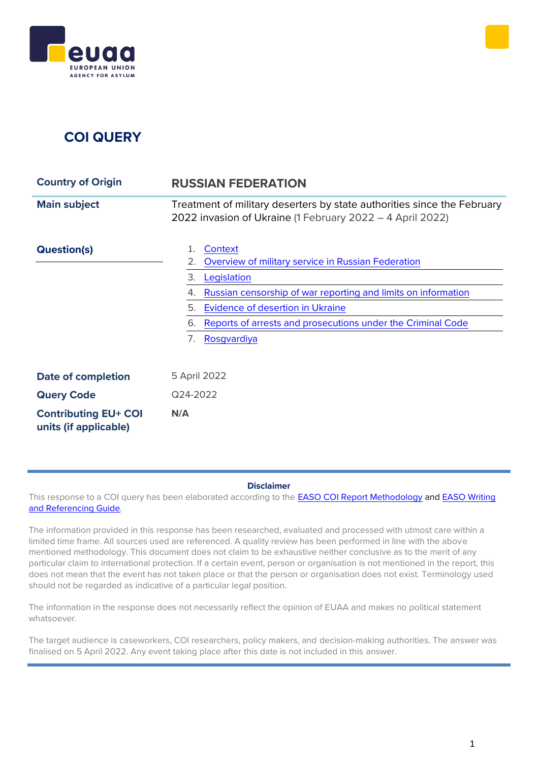

# **COI QUERY**

| <b>Country of Origin</b>                             | <b>RUSSIAN FEDERATION</b>                                                                                                                                                                                                                                                                                 |
|------------------------------------------------------|-----------------------------------------------------------------------------------------------------------------------------------------------------------------------------------------------------------------------------------------------------------------------------------------------------------|
| <b>Main subject</b>                                  | Treatment of military deserters by state authorities since the February<br>2022 invasion of Ukraine (1 February 2022 - 4 April 2022)                                                                                                                                                                      |
| <b>Question(s)</b>                                   | Context<br>1.<br>Overview of military service in Russian Federation<br>2.<br>3.<br>Legislation<br>Russian censorship of war reporting and limits on information<br>4.<br>Evidence of desertion in Ukraine<br>5.<br>Reports of arrests and prosecutions under the Criminal Code<br>6.<br>Rosgvardiya<br>7. |
| <b>Date of completion</b>                            | 5 April 2022                                                                                                                                                                                                                                                                                              |
| <b>Query Code</b>                                    | Q24-2022                                                                                                                                                                                                                                                                                                  |
| <b>Contributing EU+ COI</b><br>units (if applicable) | N/A                                                                                                                                                                                                                                                                                                       |

#### **Disclaimer**

This response to a COI query has been elaborated according to the [EASO COI Report Methodology](https://coi.easo.europa.eu/administration/easo/PLib/2019_EASO_COI_Report_Methodology.pdf) and EASO Writing [and Referencing Guide](https://coi.easo.europa.eu/administration/easo/PLib/2019_EASO_COI_Writing_and_Referencing_Guide.pdf)*.* 

The information provided in this response has been researched, evaluated and processed with utmost care within a limited time frame. All sources used are referenced. A quality review has been performed in line with the above mentioned methodology. This document does not claim to be exhaustive neither conclusive as to the merit of any particular claim to international protection. If a certain event, person or organisation is not mentioned in the report, this does not mean that the event has not taken place or that the person or organisation does not exist. Terminology used should not be regarded as indicative of a particular legal position.

The information in the response does not necessarily reflect the opinion of EUAA and makes no political statement whatsoever.

The target audience is caseworkers, COI researchers, policy makers, and decision-making authorities. The answer was finalised on 5 April 2022. Any event taking place after this date is not included in this answer.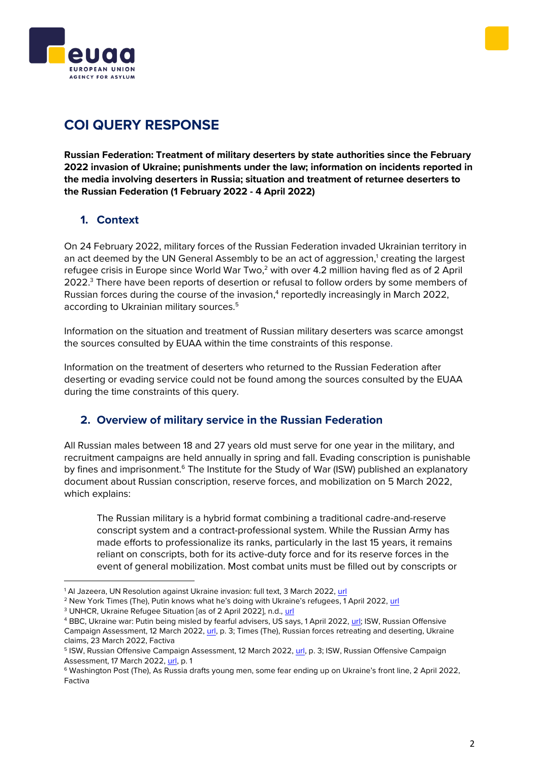



# **COI QUERY RESPONSE**

**Russian Federation: Treatment of military deserters by state authorities since the February 2022 invasion of Ukraine; punishments under the law; information on incidents reported in the media involving deserters in Russia; situation and treatment of returnee deserters to the Russian Federation (1 February 2022 - 4 April 2022)**

## <span id="page-1-0"></span>**1. Context**

On 24 February 2022, military forces of the Russian Federation invaded Ukrainian territory in an act deemed by the UN General Assembly to be an act of aggression,<sup>1</sup> creating the largest refugee crisis in Europe since World War Two, $2$  with over 4.2 million having fled as of 2 April 2022.<sup>3</sup> There have been reports of desertion or refusal to follow orders by some members of Russian forces during the course of the invasion,<sup>4</sup> reportedly increasingly in March 2022, according to Ukrainian military sources.<sup>5</sup>

Information on the situation and treatment of Russian military deserters was scarce amongst the sources consulted by EUAA within the time constraints of this response.

Information on the treatment of deserters who returned to the Russian Federation after deserting or evading service could not be found among the sources consulted by the EUAA during the time constraints of this query.

## <span id="page-1-1"></span>**2. Overview of military service in the Russian Federation**

All Russian males between 18 and 27 years old must serve for one year in the military, and recruitment campaigns are held annually in spring and fall. Evading conscription is punishable by fines and imprisonment.<sup>6</sup> The Institute for the Study of War (ISW) published an explanatory document about Russian conscription, reserve forces, and mobilization on 5 March 2022, which explains:

The Russian military is a hybrid format combining a traditional cadre-and-reserve conscript system and a contract-professional system. While the Russian Army has made efforts to professionalize its ranks, particularly in the last 15 years, it remains reliant on conscripts, both for its active-duty force and for its reserve forces in the event of general mobilization. Most combat units must be filled out by conscripts or

<sup>&</sup>lt;sup>1</sup> Al Jazeera, UN Resolution against Ukraine invasion: full text, 3 March 2022, [url](https://www.aljazeera.com/news/2022/3/3/unga-resolution-against-ukraine-invasion-full-text)

<sup>2</sup> New York Times (The), Putin knows what he's doing with Ukraine's refugees, 1 April 2022, [url](https://www.nytimes.com/2022/04/01/opinion/ukraine-russia-war-refugees.html)

<sup>&</sup>lt;sup>3</sup> UNHCR, Ukraine Refugee Situation [as of 2 April 2022], n.d., [url](https://data2.unhcr.org/en/situations/ukraine)

<sup>4</sup> BBC, Ukraine war: Putin being misled by fearful advisers, US says, 1 April 2022, [url;](https://www.bbc.com/news/world-europe-60936117) ISW, Russian Offensive Campaign Assessment, 12 March 2022, [url,](https://www.understandingwar.org/sites/default/files/Russian%20Operations%20Assessments%20Mar%2012.pdf) p. 3; Times (The), Russian forces retreating and deserting, Ukraine claims, 23 March 2022, Factiva

<sup>&</sup>lt;sup>5</sup> ISW, Russian Offensive Campaign Assessment, 12 March 2022, <u>url</u>, p. 3; ISW, Russian Offensive Campaign Assessment, 17 March 2022[, url,](https://www.understandingwar.org/sites/default/files/Russian%20Operations%20Assessments%20Mar%2017.pdf) p. 1

<sup>6</sup> Washington Post (The), As Russia drafts young men, some fear ending up on Ukraine's front line, 2 April 2022, Factiva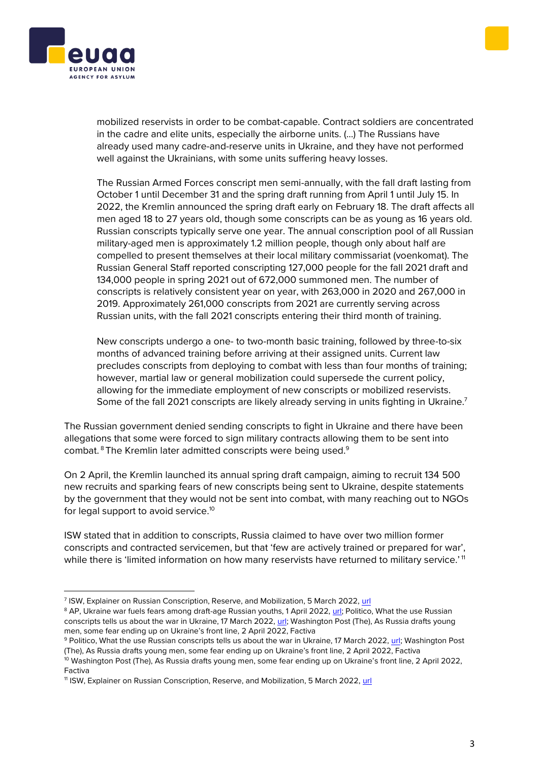



mobilized reservists in order to be combat-capable. Contract soldiers are concentrated in the cadre and elite units, especially the airborne units. (…) The Russians have already used many cadre-and-reserve units in Ukraine, and they have not performed well against the Ukrainians, with some units suffering heavy losses.

The Russian Armed Forces conscript men semi-annually, with the fall draft lasting from October 1 until December 31 and the spring draft running from April 1 until July 15. In 2022, the Kremlin announced the spring draft early on February 18. The draft affects all men aged 18 to 27 years old, though some conscripts can be as young as 16 years old. Russian conscripts typically serve one year. The annual conscription pool of all Russian military-aged men is approximately 1.2 million people, though only about half are compelled to present themselves at their local military commissariat (voenkomat). The Russian General Staff reported conscripting 127,000 people for the fall 2021 draft and 134,000 people in spring 2021 out of 672,000 summoned men. The number of conscripts is relatively consistent year on year, with 263,000 in 2020 and 267,000 in 2019. Approximately 261,000 conscripts from 2021 are currently serving across Russian units, with the fall 2021 conscripts entering their third month of training.

New conscripts undergo a one- to two-month basic training, followed by three-to-six months of advanced training before arriving at their assigned units. Current law precludes conscripts from deploying to combat with less than four months of training; however, martial law or general mobilization could supersede the current policy, allowing for the immediate employment of new conscripts or mobilized reservists. Some of the fall 2021 conscripts are likely already serving in units fighting in Ukraine.<sup>7</sup>

The Russian government denied sending conscripts to fight in Ukraine and there have been allegations that some were forced to sign military contracts allowing them to be sent into combat. <sup>8</sup> The Kremlin later admitted conscripts were being used.<sup>9</sup>

On 2 April, the Kremlin launched its annual spring draft campaign, aiming to recruit 134 500 new recruits and sparking fears of new conscripts being sent to Ukraine, despite statements by the government that they would not be sent into combat, with many reaching out to NGOs for legal support to avoid service.<sup>10</sup>

ISW stated that in addition to conscripts, Russia claimed to have over two million former conscripts and contracted servicemen, but that 'few are actively trained or prepared for war', while there is 'limited information on how many reservists have returned to military service.'<sup>11</sup>

<sup>&</sup>lt;sup>7</sup> ISW, Explainer on Russian Conscription, Reserve, and Mobilization, 5 March 2022, <u>url</u>

<sup>&</sup>lt;sup>8</sup> AP, Ukraine war fuels fears among draft-age Russian youths, 1 April 2022[, url;](https://www.ctvnews.ca/world/ukraine-war-fuels-fears-among-draft-age-russian-youths-1.5843952) Politico, What the use Russian conscripts tells us about the war in Ukraine, 17 March 2022[, url;](https://www.politico.eu/article/what-the-use-of-russia-conscripts-tells-us-about-the-war-in-ukraine/#:~:text=Today%2C%20Russia%20requires%20all%20male,into%20a%20mandatory%20reserve%20status) Washington Post (The), As Russia drafts young men, some fear ending up on Ukraine's front line, 2 April 2022, Factiva

<sup>&</sup>lt;sup>9</sup> Politico, What the use Russian conscripts tells us about the war in Ukraine, 17 March 2022, [url;](https://www.politico.eu/article/what-the-use-of-russia-conscripts-tells-us-about-the-war-in-ukraine/#:~:text=Today%2C%20Russia%20requires%20all%20male,into%20a%20mandatory%20reserve%20status) Washington Post (The), As Russia drafts young men, some fear ending up on Ukraine's front line, 2 April 2022, Factiva

<sup>&</sup>lt;sup>10</sup> Washington Post (The), As Russia drafts young men, some fear ending up on Ukraine's front line, 2 April 2022, Factiva

<sup>11</sup> ISW, Explainer on Russian Conscription, Reserve, and Mobilization, 5 March 2022[, url](https://www.understandingwar.org/sites/default/files/Explainer%20on%20Russian%20Conscription%2C%20Reserve%2C%20and%20Mobilization%204%20March%202022.pdf)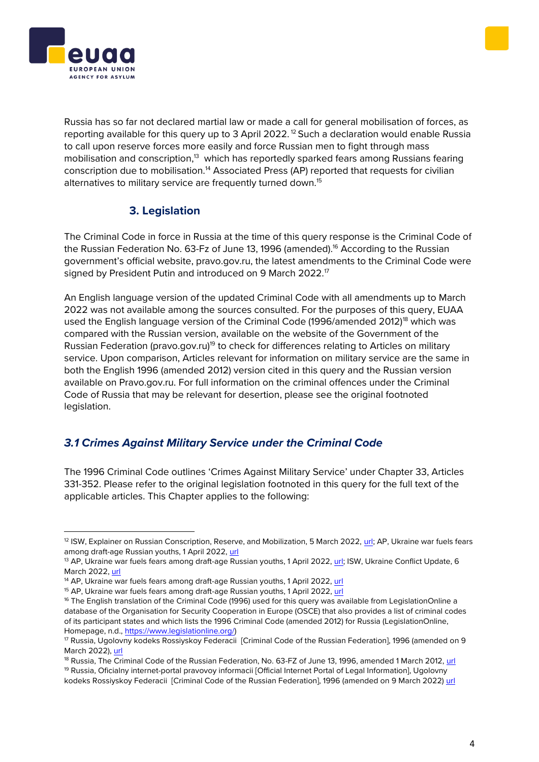



Russia has so far not declared martial law or made a call for general mobilisation of forces, as reporting available for this query up to 3 April 2022.<sup>12</sup> Such a declaration would enable Russia to call upon reserve forces more easily and force Russian men to fight through mass mobilisation and conscription,<sup>13</sup> which has reportedly sparked fears among Russians fearing conscription due to mobilisation.<sup>14</sup> Associated Press (AP) reported that requests for civilian alternatives to military service are frequently turned down.<sup>15</sup>

## **3. Legislation**

<span id="page-3-0"></span>The Criminal Code in force in Russia at the time of this query response is the Criminal Code of the Russian Federation No. 63-Fz of June 13, 1996 (amended).<sup>16</sup> According to the Russian government's official website, pravo.gov.ru, the latest amendments to the Criminal Code were signed by President Putin and introduced on 9 March 2022.<sup>17</sup>

An English language version of the updated Criminal Code with all amendments up to March 2022 was not available among the sources consulted. For the purposes of this query, EUAA used the English language version of the Criminal Code (1996/amended 2012)<sup>18</sup> which was compared with the Russian version, available on the website of the Government of the Russian Federation (pravo.gov.ru)<sup>19</sup> to check for differences relating to Articles on military service. Upon comparison, Articles relevant for information on military service are the same in both the English 1996 (amended 2012) version cited in this query and the Russian version available on Pravo.gov.ru. For full information on the criminal offences under the Criminal Code of Russia that may be relevant for desertion, please see the original footnoted legislation.

## *3.1 Crimes Against Military Service under the Criminal Code*

The 1996 Criminal Code outlines 'Crimes Against Military Service' under Chapter 33, Articles 331-352. Please refer to the original legislation footnoted in this query for the full text of the applicable articles. This Chapter applies to the following:

<sup>&</sup>lt;sup>12</sup> ISW, Explainer on Russian Conscription, Reserve, and Mobilization, 5 March 2022, [url;](https://www.understandingwar.org/sites/default/files/Explainer%20on%20Russian%20Conscription%2C%20Reserve%2C%20and%20Mobilization%204%20March%202022.pdf) AP, Ukraine war fuels fears among draft-age Russian youths, 1 April 2022[, url](https://www.ctvnews.ca/world/ukraine-war-fuels-fears-among-draft-age-russian-youths-1.5843952)

<sup>&</sup>lt;sup>13</sup> AP, Ukraine war fuels fears among draft-age Russian youths, 1 April 2022, [url;](https://www.ctvnews.ca/world/ukraine-war-fuels-fears-among-draft-age-russian-youths-1.5843952) ISW, Ukraine Conflict Update, 6 March 2022[, url](https://www.understandingwar.org/sites/default/files/Ukraine%20Conflict%20Update%2016_0.pdf)

<sup>&</sup>lt;sup>14</sup> AP, Ukraine war fuels fears among draft-age Russian youths, 1 April 2022, [url](https://www.ctvnews.ca/world/ukraine-war-fuels-fears-among-draft-age-russian-youths-1.5843952)

<sup>&</sup>lt;sup>15</sup> AP, Ukraine war fuels fears among draft-age Russian youths, 1 April 2022, [url](https://www.ctvnews.ca/world/ukraine-war-fuels-fears-among-draft-age-russian-youths-1.5843952)

<sup>&</sup>lt;sup>16</sup> The English translation of the Criminal Code (1996) used for this query was available from LegislationOnline a database of the Organisation for Security Cooperation in Europe (OSCE) that also provides a list of criminal codes of its participant states and which lists the 1996 Criminal Code (amended 2012) for Russia (LegislationOnline, Homepage, n.d., [https://www.legislationline.org/\)](https://www.legislationline.org/)

<sup>17</sup> Russia, Ugolovny kodeks Rossiyskoy Federacii [Criminal Code of the Russian Federation], 1996 (amended on 9 March 2022)[, url](http://pravo.gov.ru/proxy/ips/?docbody&nd=102041891)

<sup>&</sup>lt;sup>18</sup> Russia. The Criminal Code of the Russian Federation, No. 63-FZ of June 13, 1996, amended 1 March 2012, [url](https://www.legislationline.org/download/id/4247/file/RF_CC_1996_am03.2012_en.pdf) <sup>19</sup> Russia, Oficialny internet-portal pravovoy informacii [Official Internet Portal of Legal Information], Ugolovny kodeks Rossiyskoy Federacii [Criminal Code of the Russian Federation], 1996 (amended on 9 March 2022) [url](http://pravo.gov.ru/proxy/ips/?docbody&nd=102041891)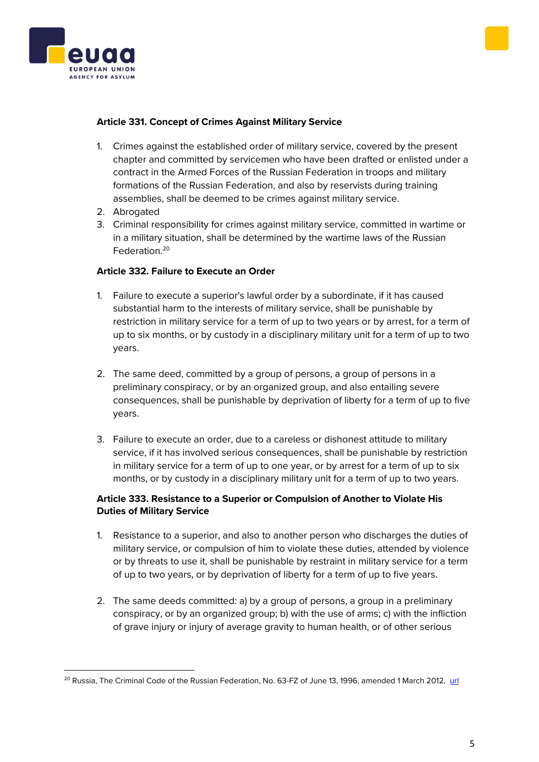



## **Article 331. Concept of Crimes Against Military Service**

- 1. Crimes against the established order of military service, covered by the present chapter and committed by servicemen who have been drafted or enlisted under a contract in the Armed Forces of the Russian Federation in troops and military formations of the Russian Federation, and also by reservists during training assemblies, shall be deemed to be crimes against military service.
- 2. Abrogated
- 3. Criminal responsibility for crimes against military service, committed in wartime or in a military situation, shall be determined by the wartime laws of the Russian Federation.<sup>20</sup>

### **Article 332. Failure to Execute an Order**

- 1. Failure to execute a superior's lawful order by a subordinate, if it has caused substantial harm to the interests of military service, shall be punishable by restriction in military service for a term of up to two years or by arrest, for a term of up to six months, or by custody in a disciplinary military unit for a term of up to two years.
- 2. The same deed, committed by a group of persons, a group of persons in a preliminary conspiracy, or by an organized group, and also entailing severe consequences, shall be punishable by deprivation of liberty for a term of up to five years.
- 3. Failure to execute an order, due to a careless or dishonest attitude to military service, if it has involved serious consequences, shall be punishable by restriction in military service for a term of up to one year, or by arrest for a term of up to six months, or by custody in a disciplinary military unit for a term of up to two years.

## **Article 333. Resistance to a Superior or Compulsion of Another to Violate His Duties of Military Service**

- 1. Resistance to a superior, and also to another person who discharges the duties of military service, or compulsion of him to violate these duties, attended by violence or by threats to use it, shall be punishable by restraint in military service for a term of up to two years, or by deprivation of liberty for a term of up to five years.
- 2. The same deeds committed: a) by a group of persons, a group in a preliminary conspiracy, or by an organized group; b) with the use of arms; c) with the infliction of grave injury or injury of average gravity to human health, or of other serious

<sup>&</sup>lt;sup>20</sup> Russia, The Criminal Code of the Russian Federation, No. 63-FZ of June 13, 1996, amended 1 March 2012, [url](https://www.legislationline.org/download/id/4247/file/RF_CC_1996_am03.2012_en.pdf)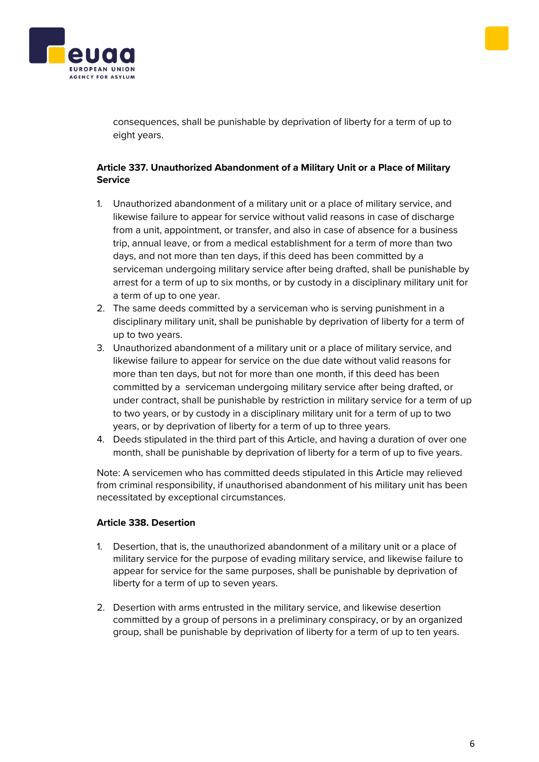



consequences, shall be punishable by deprivation of liberty for a term of up to eight years.

## **Article 337. Unauthorized Abandonment of a Military Unit or a Place of Military Service**

- 1. Unauthorized abandonment of a military unit or a place of military service, and likewise failure to appear for service without valid reasons in case of discharge from a unit, appointment, or transfer, and also in case of absence for a business trip, annual leave, or from a medical establishment for a term of more than two days, and not more than ten days, if this deed has been committed by a serviceman undergoing military service after being drafted, shall be punishable by arrest for a term of up to six months, or by custody in a disciplinary military unit for a term of up to one year.
- 2. The same deeds committed by a serviceman who is serving punishment in a disciplinary military unit, shall be punishable by deprivation of liberty for a term of up to two years.
- 3. Unauthorized abandonment of a military unit or a place of military service, and likewise failure to appear for service on the due date without valid reasons for more than ten days, but not for more than one month, if this deed has been committed by a serviceman undergoing military service after being drafted, or under contract, shall be punishable by restriction in military service for a term of up to two years, or by custody in a disciplinary military unit for a term of up to two years, or by deprivation of liberty for a term of up to three years.
- 4. Deeds stipulated in the third part of this Article, and having a duration of over one month, shall be punishable by deprivation of liberty for a term of up to five years.

Note: A servicemen who has committed deeds stipulated in this Article may relieved from criminal responsibility, if unauthorised abandonment of his military unit has been necessitated by exceptional circumstances.

## **Article 338. Desertion**

- 1. Desertion, that is, the unauthorized abandonment of a military unit or a place of military service for the purpose of evading military service, and likewise failure to appear for service for the same purposes, shall be punishable by deprivation of liberty for a term of up to seven years.
- 2. Desertion with arms entrusted in the military service, and likewise desertion committed by a group of persons in a preliminary conspiracy, or by an organized group, shall be punishable by deprivation of liberty for a term of up to ten years.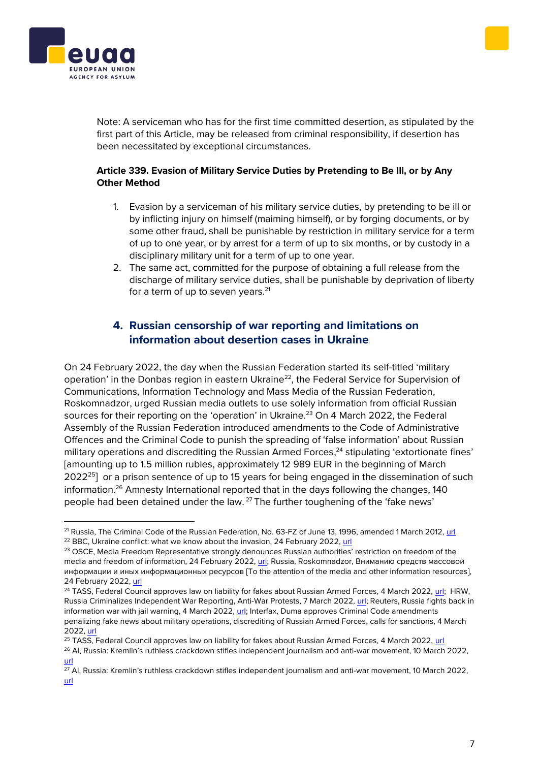



Note: A serviceman who has for the first time committed desertion, as stipulated by the first part of this Article, may be released from criminal responsibility, if desertion has been necessitated by exceptional circumstances.

## **Article 339. Evasion of Military Service Duties by Pretending to Be Ill, or by Any Other Method**

- 1. Evasion by a serviceman of his military service duties, by pretending to be ill or by inflicting injury on himself (maiming himself), or by forging documents, or by some other fraud, shall be punishable by restriction in military service for a term of up to one year, or by arrest for a term of up to six months, or by custody in a disciplinary military unit for a term of up to one year.
- 2. The same act, committed for the purpose of obtaining a full release from the discharge of military service duties, shall be punishable by deprivation of liberty for a term of up to seven years. $21$

## **4. Russian censorship of war reporting and limitations on information about desertion cases in Ukraine**

On 24 February 2022, the day when the Russian Federation started its self-titled 'military operation' in the Donbas region in eastern Ukraine<sup>22</sup>, the Federal Service for Supervision of Communications, Information Technology and Mass Media of the Russian Federation, Roskomnadzor, urged Russian media outlets to use solely information from official Russian sources for their reporting on the 'operation' in Ukraine.<sup>23</sup> On 4 March 2022, the Federal Assembly of the Russian Federation introduced amendments to the Code of Administrative Offences and the Criminal Code to punish the spreading of 'false information' about Russian military operations and discrediting the Russian Armed Forces,<sup>24</sup> stipulating 'extortionate fines' [amounting up to 1.5 million rubles, approximately 12 989 EUR in the beginning of March 2022<sup>25</sup>] or a prison sentence of up to 15 years for being engaged in the dissemination of such information.<sup>26</sup> Amnesty International reported that in the days following the changes, 140 people had been detained under the law. <sup>27</sup> The further toughening of the 'fake news'

<sup>&</sup>lt;sup>21</sup> Russia, The Criminal Code of the Russian Federation, No. 63-FZ of June 13, 1996, amended 1 March 2012, [url](https://www.legislationline.org/download/id/4247/file/RF_CC_1996_am03.2012_en.pdf) <sup>22</sup> BBC, Ukraine conflict: what we know about the invasion, 24 February 2022, [url](https://www.bbc.com/news/world-europe-60504334)

<sup>&</sup>lt;sup>23</sup> OSCE, Media Freedom Representative strongly denounces Russian authorities' restriction on freedom of the media and freedom of information, 24 February 2022, [url;](https://www.osce.org/representative-on-freedom-of-media/512950) Russia, Roskomnadzor, Вниманию средств массовой информации и иных информационных ресурсов [To the attention of the media and other information resources], 24 February 2022, [url](https://rkn.gov.ru/news/rsoc/news74084.htm)

<sup>&</sup>lt;sup>24</sup> TASS, Federal Council approves law on liability for fakes about Russian Armed Forces, 4 March 2022[, url;](https://tass.com/politics/1416857?utm_source=google.com&utm_medium=organic&utm_campaign=google.com&utm_referrer=google.com) HRW, Russia Criminalizes Independent War Reporting, Anti-War Protests, 7 March 2022[, url;](https://www.hrw.org/news/2022/03/07/russia-criminalizes-independent-war-reporting-anti-war-protests) Reuters, Russia fights back in information war with jail warning, 4 March 2022[, url;](https://www.reuters.com/world/europe/russia-introduce-jail-terms-spreading-fake-information-about-army-2022-03-04/) Interfax, Duma approves Criminal Code amendments penalizing fake news about military operations, discrediting of Russian Armed Forces, calls for sanctions, 4 March 2022[, url](https://interfax.com/newsroom/top-stories/75419/)

<sup>&</sup>lt;sup>25</sup> TASS, Federal Council approves law on liability for fakes about Russian Armed Forces, 4 March 2022, [url](https://tass.com/politics/1416857?utm_source=google.com&utm_medium=organic&utm_campaign=google.com&utm_referrer=google.com)

<sup>&</sup>lt;sup>26</sup> AI, Russia: Kremlin's ruthless crackdown stifles independent journalism and anti-war movement, 10 March 2022, [url](https://www.amnesty.org/en/latest/news/2022/03/russia-kremlins-ruthless-crackdown-stifles-independent-journalism-and-anti-war-movement/)

 $\overline{27}$  AI, Russia: Kremlin's ruthless crackdown stifles independent journalism and anti-war movement, 10 March 2022, [url](https://www.amnesty.org/en/latest/news/2022/03/russia-kremlins-ruthless-crackdown-stifles-independent-journalism-and-anti-war-movement/)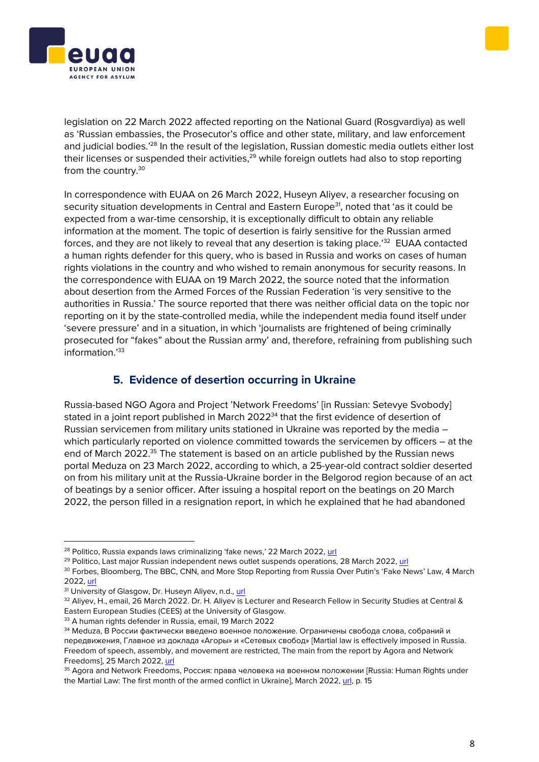legislation on 22 March 2022 affected reporting on the National Guard (Rosgvardiya) as well as 'Russian embassies, the Prosecutor's office and other state, military, and law enforcement and judicial bodies.<sup>'28</sup> In the result of the legislation, Russian domestic media outlets either lost their licenses or suspended their activities,<sup>29</sup> while foreign outlets had also to stop reporting from the country.<sup>30</sup>

In correspondence with EUAA on 26 March 2022, Huseyn Aliyev, a researcher focusing on security situation developments in Central and Eastern Europe<sup>31</sup>, noted that 'as it could be expected from a war-time censorship, it is exceptionally difficult to obtain any reliable information at the moment. The topic of desertion is fairly sensitive for the Russian armed forces, and they are not likely to reveal that any desertion is taking place.<sup>32</sup> EUAA contacted a human rights defender for this query, who is based in Russia and works on cases of human rights violations in the country and who wished to remain anonymous for security reasons. In the correspondence with EUAA on 19 March 2022, the source noted that the information about desertion from the Armed Forces of the Russian Federation 'is very sensitive to the authorities in Russia.' The source reported that there was neither official data on the topic nor reporting on it by the state-controlled media, while the independent media found itself under 'severe pressure' and in a situation, in which 'journalists are frightened of being criminally prosecuted for "fakes" about the Russian army' and, therefore, refraining from publishing such information.'<sup>33</sup>

## **5. Evidence of desertion occurring in Ukraine**

<span id="page-7-0"></span>Russia-based NGO Agora and Project 'Network Freedoms' [in Russian: Setevye Svobody] stated in a joint report published in March 2022<sup>34</sup> that the first evidence of desertion of Russian servicemen from military units stationed in Ukraine was reported by the media – which particularly reported on violence committed towards the servicemen by officers – at the end of March 2022.<sup>35</sup> The statement is based on an article published by the Russian news portal Meduza on 23 March 2022, according to which, a 25-year-old contract soldier deserted on from his military unit at the Russia-Ukraine border in the Belgorod region because of an act of beatings by a senior officer. After issuing a hospital report on the beatings on 20 March 2022, the person filled in a resignation report, in which he explained that he had abandoned

<sup>33</sup> A human rights defender in Russia, email, 19 March 2022





<sup>&</sup>lt;sup>28</sup> Politico, Russia expands laws criminalizing 'fake news,' 22 March 2022, [url](https://www.politico.eu/article/russia-expand-laws-criminalize-fake-news/)

<sup>&</sup>lt;sup>29</sup> Politico, Last major Russian independent news outlet suspends operations, 28 March 2022, [url](https://www.politico.eu/article/last-russia-independent-news-outlet-suspends-operations/)

<sup>&</sup>lt;sup>30</sup> Forbes, Bloomberg, The BBC, CNN, and More Stop Reporting from Russia Over Putin's 'Fake News' Law, 4 March 2022[, url](https://www.forbes.com/sites/andymeek/2022/03/04/bloomberg-the-bbc-cnn-and-more-stop-reporting-from-russia-over-putins-fake-news-law/?sh=7416f690474e)

<sup>&</sup>lt;sup>31</sup> University of Glasgow, Dr. Huseyn Aliyev, n.d., [url](https://www.gla.ac.uk/schools/socialpolitical/staff/huseynaliyev/)

<sup>32</sup> Aliyev, H., email, 26 March 2022. Dr. H. Aliyev is Lecturer and Research Fellow in Security Studies at Central & Eastern European Studies (CEES) at the University of Glasgow.

<sup>&</sup>lt;sup>34</sup> Meduza, В России фактически введено военное положение. Ограничены свобода слова, собраний и передвижения, Главное из доклада «Агоры» и «Сетевых свобод» [Martial law is effectively imposed in Russia. Freedom of speech, assembly, and movement are restricted, The main from the report by Agora and Network Freedoms], 25 March 2022[, url](https://meduza.io/feature/2022/03/25/v-rossii-fakticheski-vvedeno-voennoe-polozhenie-ogranicheny-svoboda-slova-sobraniy-i-peredvizheniya)

<sup>&</sup>lt;sup>35</sup> Agora and Network Freedoms, Россия: права человека на военном положении [Russia: Human Rights under the Martial Law: The first month of the armed conflict in Ukraine], March 2022, [url,](https://drive.google.com/file/d/1vCb_QdGscBkLUtYQpNxl5Q7I1XNisbnr/view) p. 15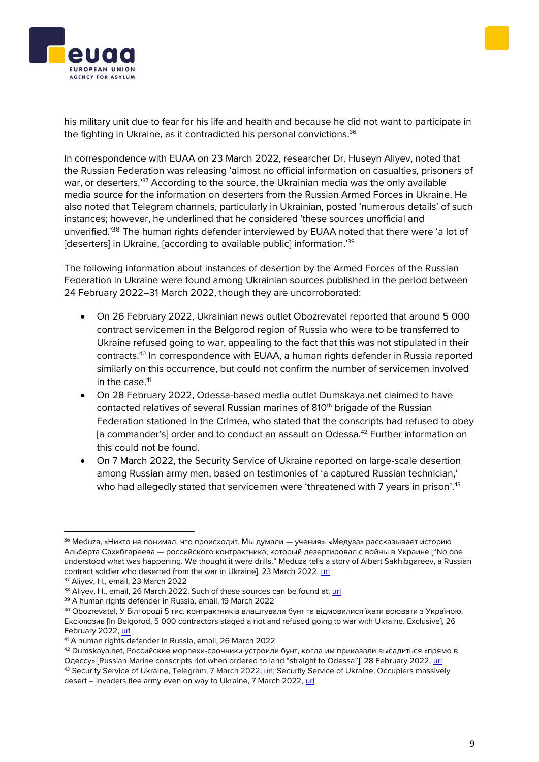his military unit due to fear for his life and health and because he did not want to participate in the fighting in Ukraine, as it contradicted his personal convictions.<sup>36</sup>

In correspondence with EUAA on 23 March 2022, researcher Dr. Huseyn Aliyev, noted that the Russian Federation was releasing 'almost no official information on casualties, prisoners of war, or deserters.'<sup>37</sup> According to the source, the Ukrainian media was the only available media source for the information on deserters from the Russian Armed Forces in Ukraine. He also noted that Telegram channels, particularly in Ukrainian, posted 'numerous details' of such instances; however, he underlined that he considered 'these sources unofficial and unverified.'<sup>38</sup> The human rights defender interviewed by EUAA noted that there were 'a lot of [deserters] in Ukraine, [according to available public] information.'<sup>39</sup>

The following information about instances of desertion by the Armed Forces of the Russian Federation in Ukraine were found among Ukrainian sources published in the period between 24 February 2022–31 March 2022, though they are uncorroborated:

- On 26 February 2022, Ukrainian news outlet Obozrevatel reported that around 5 000 contract servicemen in the Belgorod region of Russia who were to be transferred to Ukraine refused going to war, appealing to the fact that this was not stipulated in their contracts.<sup>40</sup> In correspondence with EUAA, a human rights defender in Russia reported similarly on this occurrence, but could not confirm the number of servicemen involved in the case.<sup>41</sup>
- On 28 February 2022, Odessa-based media outlet Dumskaya.net claimed to have contacted relatives of several Russian marines of 810<sup>th</sup> brigade of the Russian Federation stationed in the Crimea, who stated that the conscripts had refused to obey [a commander's] order and to conduct an assault on Odessa.<sup>42</sup> Further information on this could not be found.
- On 7 March 2022, the Security Service of Ukraine reported on large-scale desertion among Russian army men, based on testimonies of 'a captured Russian technician,' who had allegedly stated that servicemen were 'threatened with 7 years in prison'.<sup>43</sup>





<sup>&</sup>lt;sup>36</sup> Meduza, «Никто не понимал, что происходит. Мы думали — учения». «Медуза» рассказывает историю Альберта Сахибгареева — российского контрактника, который дезертировал с войны в Украине ["No one understood what was happening. We thought it were drills." Meduza tells a story of Albert Sakhibgareev, a Russian contract soldier who deserted from the war in Ukraine], 23 March 2022, [url](https://meduza.io/feature/2022/03/23/nikto-ne-ponimal-chto-proishodit-my-dumali-ucheniya?utm_source=telegram&utm_medium=live&utm_campaign=live)

<sup>&</sup>lt;sup>37</sup> Aliyev, H., email, 23 March 2022

<sup>&</sup>lt;sup>38</sup> Aliyev, H., email, 26 March 2022. Such of these sources can be found at: [url](https://t.me/crisis2022)

<sup>39</sup> A human rights defender in Russia, email, 19 March 2022

<sup>40</sup> Obozrevatel, У Білгороді 5 тис. контрактників влаштували бунт та відмовилися їхати воювати з Україною. Ексклюзив [In Belgorod, 5 000 contractors staged a riot and refused going to war with Ukraine. Exclusive], 26 February 2022, [url](https://news.obozrevatel.com/ukr/russia/u-bilgorodi-5-tis-kontraktnikiv-vlashtuvali-bunt-ta-vidmovilisya-ihati-voyuvati-z-ukrainoyu-eksklyuziv.htm?utm_source=Telegram&utm_medium=channel&utm_campaign=subscription)

<sup>41</sup> A human rights defender in Russia, email, 26 March 2022

<sup>42</sup> Dumskaya.net, Российские морпехи-срочники устроили бунт, когда им приказали высадиться «прямо в Одессу» [Russian Marine conscripts riot when ordered to land "straight to Odessa"], 28 February 2022, [url](https://dumskaya.net/news/rossiyskie-matrosy-ustroili-bunt-kogda-im-prikaz/?fbclid=IwAR3qQO-YgARAZFt1B1dqcSDzk8IjksKOLa75oOuMvBSlx2dv3axFNnrp1Qw) <sup>43</sup> Security Service of Ukraine, Telegram, 7 March 2022[, url;](https://t.me/SBUkr/3844) Security Service of Ukraine, Occupiers massively

desert – invaders flee army even on way to Ukraine, 7 March 2022[, url](https://ssu.gov.ua/en/novyny/dezertyrstvo-sered-okupantiv-staie-masovym-zaharbnyky-tikaiut-z-viiska-navit-po-dorozi-v-ukrainu)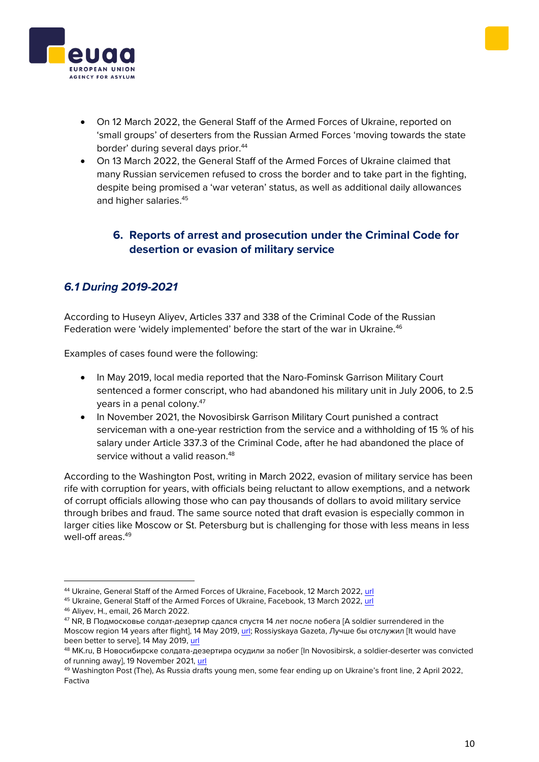



- On 12 March 2022, the General Staff of the Armed Forces of Ukraine, reported on 'small groups' of deserters from the Russian Armed Forces 'moving towards the state border' during several days prior. 44
- On 13 March 2022, the General Staff of the Armed Forces of Ukraine claimed that many Russian servicemen refused to cross the border and to take part in the fighting, despite being promised a 'war veteran' status, as well as additional daily allowances and higher salaries. 45

## <span id="page-9-0"></span>**6. Reports of arrest and prosecution under the Criminal Code for desertion or evasion of military service**

# *6.1 During 2019-2021*

According to Huseyn Aliyev, Articles 337 and 338 of the Criminal Code of the Russian Federation were 'widely implemented' before the start of the war in Ukraine.<sup>46</sup>

Examples of cases found were the following:

- In May 2019, local media reported that the Naro-Fominsk Garrison Military Court sentenced a former conscript, who had abandoned his military unit in July 2006, to 2.5 years in a penal colony.<sup>47</sup>
- In November 2021, the Novosibirsk Garrison Military Court punished a contract serviceman with a one-year restriction from the service and a withholding of 15 % of his salary under Article 337.3 of the Criminal Code, after he had abandoned the place of service without a valid reason.<sup>48</sup>

According to the Washington Post, writing in March 2022, evasion of military service has been rife with corruption for years, with officials being reluctant to allow exemptions, and a network of corrupt officials allowing those who can pay thousands of dollars to avoid military service through bribes and fraud. The same source noted that draft evasion is especially common in larger cities like Moscow or St. Petersburg but is challenging for those with less means in less well-off areas.<sup>49</sup>

<sup>44</sup> Ukraine, General Staff of the Armed Forces of Ukraine, Facebook, 12 March 2022, [url](https://www.facebook.com/GeneralStaff.ua/posts/270528335260252)

<sup>45</sup> Ukraine, General Staff of the Armed Forces of Ukraine, Facebook, 13 March 2022, [url](https://www.facebook.com/GeneralStaff.ua/posts/271814665131619)

<sup>46</sup> Aliyev, H., email, 26 March 2022.

<sup>&</sup>lt;sup>47</sup> NR, В Подмосковье солдат-дезертир сдался спустя 14 лет после побега [A soldier surrendered in the Moscow region 14 years after flight], 14 May 2019[, url;](https://news-r.ru/news/moscow/309906/) Rossiyskaya Gazeta, Лучше бы отслужил [It would have been better to servel, 14 May 2019[, url](https://rg.ru/2019/05/14/reg-cfo/v-podmoskove-dezertir-poluchil-srok-za-to-chto-skryvalsia-14-let.html)

<sup>48</sup> MK.ru, В Новосибирске солдата-дезертира осудили за побег [In Novosibirsk, a soldier-deserter was convicted of running away], 19 November 2021, [url](https://novos.mk.ru/incident/2021/11/19/v-novosibirske-soldatadezertira-osudili-za-pobeg.html)

<sup>&</sup>lt;sup>49</sup> Washington Post (The), As Russia drafts young men, some fear ending up on Ukraine's front line, 2 April 2022, Factiva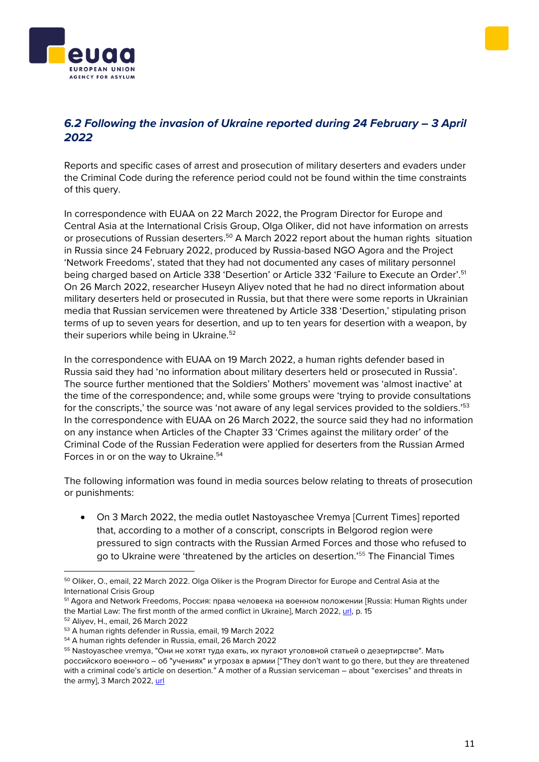# 6.2 Following the invasion of Ukraine reported during 24 February – 3 April *2022*

Reports and specific cases of arrest and prosecution of military deserters and evaders under the Criminal Code during the reference period could not be found within the time constraints of this query.

In correspondence with EUAA on 22 March 2022, the Program Director for Europe and Central Asia at the International Crisis Group, Olga Oliker, did not have information on arrests or prosecutions of Russian deserters.<sup>50</sup> A March 2022 report about the human rights situation in Russia since 24 February 2022, produced by Russia-based NGO Agora and the Project 'Network Freedoms', stated that they had not documented any cases of military personnel being charged based on Article 338 'Desertion' or Article 332 'Failure to Execute an Order'.<sup>51</sup> On 26 March 2022, researcher Huseyn Aliyev noted that he had no direct information about military deserters held or prosecuted in Russia, but that there were some reports in Ukrainian media that Russian servicemen were threatened by Article 338 'Desertion,' stipulating prison terms of up to seven years for desertion, and up to ten years for desertion with a weapon, by their superiors while being in Ukraine.<sup>52</sup>

In the correspondence with EUAA on 19 March 2022, a human rights defender based in Russia said they had 'no information about military deserters held or prosecuted in Russia'. The source further mentioned that the Soldiers' Mothers' movement was 'almost inactive' at the time of the correspondence; and, while some groups were 'trying to provide consultations for the conscripts,' the source was 'not aware of any legal services provided to the soldiers.'<sup>53</sup> In the correspondence with EUAA on 26 March 2022, the source said they had no information on any instance when Articles of the Chapter 33 'Crimes against the military order' of the Criminal Code of the Russian Federation were applied for deserters from the Russian Armed Forces in or on the way to Ukraine.<sup>54</sup>

The following information was found in media sources below relating to threats of prosecution or punishments:

• On 3 March 2022, the media outlet Nastoyaschee Vremya [Current Times] reported that, according to a mother of a conscript, conscripts in Belgorod region were pressured to sign contracts with the Russian Armed Forces and those who refused to go to Ukraine were 'threatened by the articles on desertion.'<sup>55</sup> The Financial Times





<sup>&</sup>lt;sup>50</sup> Oliker, O., email, 22 March 2022. Olga Oliker is the Program Director for Europe and Central Asia at the International Crisis Group

<sup>51</sup> Agora and Network Freedoms, Россия: права человека на военном положении [Russia: Human Rights under the Martial Law: The first month of the armed conflict in Ukraine], March 2022, [url,](https://drive.google.com/file/d/1vCb_QdGscBkLUtYQpNxl5Q7I1XNisbnr/view) p. 15

<sup>52</sup> Aliyev, H., email, 26 March 2022

<sup>53</sup> A human rights defender in Russia, email, 19 March 2022

<sup>54</sup> A human rights defender in Russia, email, 26 March 2022

<sup>55</sup> Nastoyaschee vremya, "Они не хотят туда ехать, их пугают уголовной статьей о дезертирстве". Мать российского военного – об "учениях" и угрозах в армии ["They don't want to go there, but they are threatened with a criminal code's article on desertion." A mother of a Russian serviceman – about "exercises" and threats in the army], 3 March 2022[, url](https://www.currenttime.tv/a/mat-rossiiskogo-voennogo-ob-ucheniyah-i-ugrozah-v-armii/31733426.html)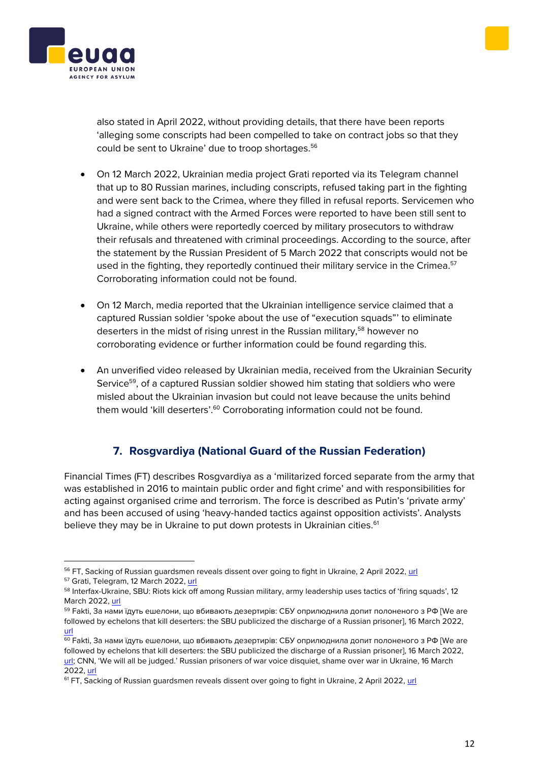also stated in April 2022, without providing details, that there have been reports 'alleging some conscripts had been compelled to take on contract jobs so that they could be sent to Ukraine' due to troop shortages.<sup>56</sup>

- On 12 March 2022, Ukrainian media project Grati reported via its Telegram channel that up to 80 Russian marines, including conscripts, refused taking part in the fighting and were sent back to the Crimea, where they filled in refusal reports. Servicemen who had a signed contract with the Armed Forces were reported to have been still sent to Ukraine, while others were reportedly coerced by military prosecutors to withdraw their refusals and threatened with criminal proceedings. According to the source, after the statement by the Russian President of 5 March 2022 that conscripts would not be used in the fighting, they reportedly continued their military service in the Crimea.<sup>57</sup> Corroborating information could not be found.
- On 12 March, media reported that the Ukrainian intelligence service claimed that a captured Russian soldier 'spoke about the use of "execution squads"' to eliminate deserters in the midst of rising unrest in the Russian military,<sup>58</sup> however no corroborating evidence or further information could be found regarding this.
- An unverified video released by Ukrainian media, received from the Ukrainian Security Service<sup>59</sup>, of a captured Russian soldier showed him stating that soldiers who were misled about the Ukrainian invasion but could not leave because the units behind them would 'kill deserters'.<sup>60</sup> Corroborating information could not be found.

# **7. Rosgvardiya (National Guard of the Russian Federation)**

<span id="page-11-0"></span>Financial Times (FT) describes Rosgvardiya as a 'militarized forced separate from the army that was established in 2016 to maintain public order and fight crime' and with responsibilities for acting against organised crime and terrorism. The force is described as Putin's 'private army' and has been accused of using 'heavy-handed tactics against opposition activists'. Analysts believe they may be in Ukraine to put down protests in Ukrainian cities.<sup>61</sup>





<sup>&</sup>lt;sup>56</sup> FT, Sacking of Russian guardsmen reveals dissent over going to fight in Ukraine, 2 April 2022, url

<sup>&</sup>lt;sup>57</sup> Grati, Telegram, 12 March 2022[, url](https://t.me/graty_me/4458)

<sup>58</sup> Interfax-Ukraine, SBU: Riots kick off among Russian military, army leadership uses tactics of 'firing squads', 12 March 2022[, url](https://ua.interfax.com.ua/news/general/812019.html)

<sup>59</sup> Fakti, За нами їдуть ешелони, що вбивають дезертирів: СБУ оприлюднила допит полоненого з РФ [We are followed by echelons that kill deserters: the SBU publicized the discharge of a Russian prisoner], 16 March 2022, [url](https://fakty.com.ua/ua/ukraine/20220312-za-namy-yidut-eshelony-shho-vbyvayut-dezertyriv-sbu-oprylyudnyla-dopyt-polonenogo-z-rf/)

<sup>60</sup> Fakti, За нами їдуть ешелони, що вбивають дезертирів: СБУ оприлюднила допит полоненого з РФ [We are followed by echelons that kill deserters: the SBU publicized the discharge of a Russian prisoner], 16 March 2022, [url;](https://fakty.com.ua/ua/ukraine/20220312-za-namy-yidut-eshelony-shho-vbyvayut-dezertyriv-sbu-oprylyudnyla-dopyt-polonenogo-z-rf/) CNN, 'We will all be judged.' Russian prisoners of war voice disquiet, shame over war in Ukraine, 16 March 2022[, url](https://edition.cnn.com/2022/03/15/europe/ukraine-russian-prisoners-of-war-intl/index.html)

<sup>&</sup>lt;sup>61</sup> FT, Sacking of Russian guardsmen reveals dissent over going to fight in Ukraine, 2 April 2022, [url](https://nationalpost.com/news/sacking-of-russian-guardsmen-reveals-dissent-over-going-to-fight-against-ukraine)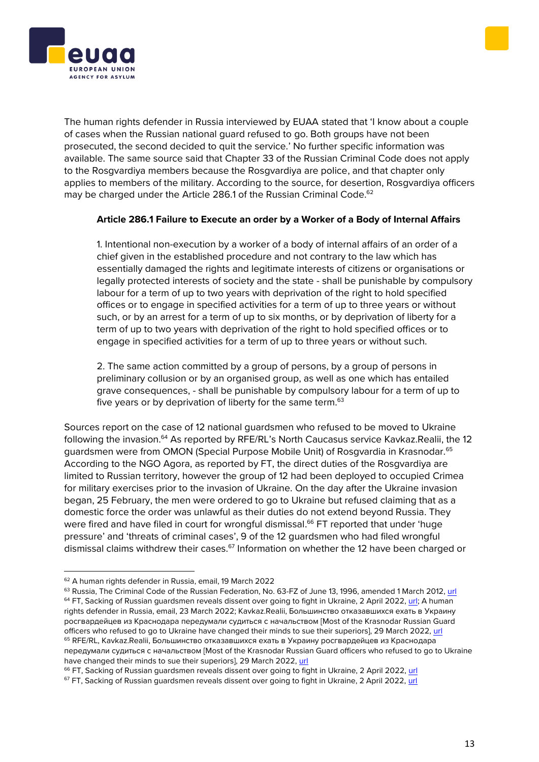



The human rights defender in Russia interviewed by EUAA stated that 'I know about a couple of cases when the Russian national guard refused to go. Both groups have not been prosecuted, the second decided to quit the service.' No further specific information was available. The same source said that Chapter 33 of the Russian Criminal Code does not apply to the Rosgvardiya members because the Rosgvardiya are police, and that chapter only applies to members of the military. According to the source, for desertion, Rosgvardiya officers may be charged under the Article 286.1 of the Russian Criminal Code.<sup>62</sup>

## **Article 286.1 Failure to Execute an order by a Worker of a Body of Internal Affairs**

1. Intentional non-execution by a worker of a body of internal affairs of an order of a chief given in the established procedure and not contrary to the law which has essentially damaged the rights and legitimate interests of citizens or organisations or legally protected interests of society and the state - shall be punishable by compulsory labour for a term of up to two years with deprivation of the right to hold specified offices or to engage in specified activities for a term of up to three years or without such, or by an arrest for a term of up to six months, or by deprivation of liberty for a term of up to two years with deprivation of the right to hold specified offices or to engage in specified activities for a term of up to three years or without such.

2. The same action committed by a group of persons, by a group of persons in preliminary collusion or by an organised group, as well as one which has entailed grave consequences, - shall be punishable by compulsory labour for a term of up to five years or by deprivation of liberty for the same term.<sup>63</sup>

Sources report on the case of 12 national guardsmen who refused to be moved to Ukraine following the invasion.<sup>64</sup> As reported by RFE/RL's North Caucasus service Kavkaz.Realii, the 12 guardsmen were from OMON (Special Purpose Mobile Unit) of Rosgvardia in Krasnodar.<sup>65</sup> According to the NGO Agora, as reported by FT, the direct duties of the Rosgvardiya are limited to Russian territory, however the group of 12 had been deployed to occupied Crimea for military exercises prior to the invasion of Ukraine. On the day after the Ukraine invasion began, 25 February, the men were ordered to go to Ukraine but refused claiming that as a domestic force the order was unlawful as their duties do not extend beyond Russia. They were fired and have filed in court for wrongful dismissal.<sup>66</sup> FT reported that under 'huge pressure' and 'threats of criminal cases', 9 of the 12 guardsmen who had filed wrongful dismissal claims withdrew their cases.<sup>67</sup> Information on whether the 12 have been charged or

<sup>62</sup> A human rights defender in Russia, email, 19 March 2022

<sup>&</sup>lt;sup>63</sup> Russia, The Criminal Code of the Russian Federation, No. 63-FZ of June 13, 1996, amended 1 March 2012[, url](https://www.legislationline.org/download/id/4247/file/RF_CC_1996_am03.2012_en.pdf) <sup>64</sup> FT, Sacking of Russian guardsmen reveals dissent over going to fight in Ukraine, 2 April 2022, [url;](https://nationalpost.com/news/sacking-of-russian-guardsmen-reveals-dissent-over-going-to-fight-against-ukraine) A human rights defender in Russia, email, 23 March 2022; Kavkaz.Realii, Большинство отказавшихся ехать в Украину росгвардейцев из Краснодара передумали судиться с начальством [Most of the Krasnodar Russian Guard officers who refused to go to Ukraine have changed their minds to sue their superiors], 29 March 2022, [url](https://www.kavkazr.com/a/boljshinstvo-otkazavshihsya-ehatj-v-ukrainu-rosgvardeytsev-iz-krasnodara-peredumali-suditjsya-s-nachaljstvom/31776042.html) <sup>65</sup> RFE/RL, Kavkaz.Realii, Большинство отказавшихся ехать в Украину росгвардейцев из Краснодара передумали судиться с начальством [Most of the Krasnodar Russian Guard officers who refused to go to Ukraine have changed their minds to sue their superiors], 29 March 2022[, url](https://www.kavkazr.com/a/boljshinstvo-otkazavshihsya-ehatj-v-ukrainu-rosgvardeytsev-iz-krasnodara-peredumali-suditjsya-s-nachaljstvom/31776042.html)

<sup>&</sup>lt;sup>66</sup> FT, Sacking of Russian guardsmen reveals dissent over going to fight in Ukraine, 2 April 2022, [url](https://nationalpost.com/news/sacking-of-russian-guardsmen-reveals-dissent-over-going-to-fight-against-ukraine)

<sup>&</sup>lt;sup>67</sup> FT, Sacking of Russian guardsmen reveals dissent over going to fight in Ukraine, 2 April 2022, url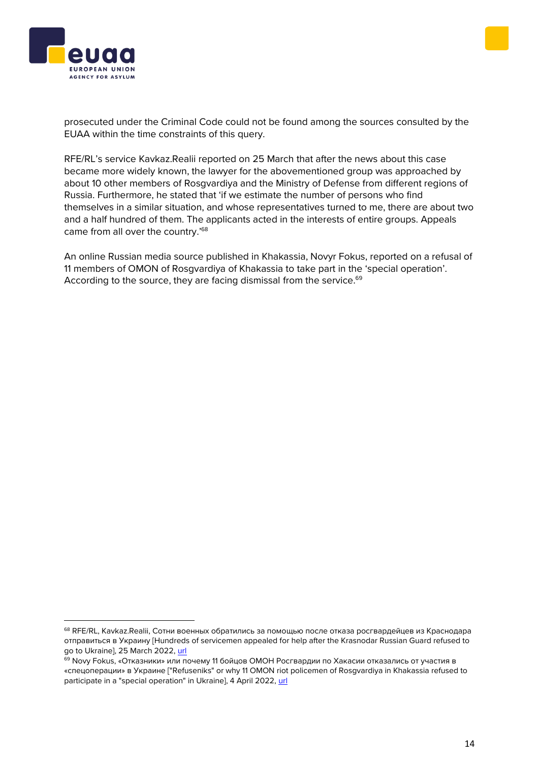



prosecuted under the Criminal Code could not be found among the sources consulted by the EUAA within the time constraints of this query.

RFE/RL's service Kavkaz.Realii reported on 25 March that after the news about this case became more widely known, the lawyer for the abovementioned group was approached by about 10 other members of Rosgvardiya and the Ministry of Defense from different regions of Russia. Furthermore, he stated that 'if we estimate the number of persons who find themselves in a similar situation, and whose representatives turned to me, there are about two and a half hundred of them. The applicants acted in the interests of entire groups. Appeals came from all over the country.'<sup>68</sup>

An online Russian media source published in Khakassia, Novyr Fokus, reported on a refusal of 11 members of OMON of Rosgvardiya of Khakassia to take part in the 'special operation'. According to the source, they are facing dismissal from the service.<sup>69</sup>

<sup>68</sup> RFE/RL, Kavkaz.Realii, Сотни военных обратились за помощью после отказа росгвардейцев из Краснодара отправиться в Украину [Hundreds of servicemen appealed for help after the Krasnodar Russian Guard refused to go to Ukraine], 25 March 2022[, url](https://www.kavkazr.com/a/sotni-voennyh-obratilisj-za-pomoschjyu-posle-otkaza-rosgvardeytsev-iz-krasnodara-ehatj-na-voynu-v-ukraine/31770183.html)

<sup>69</sup> Novy Fokus, «Отказники» или почему 11 бойцов ОМОН Росгвардии по Хакасии отказались от участия в «спецоперации» в Украине ["Refuseniks" or why 11 OMON riot policemen of Rosgvardiya in Khakassia refused to participate in a "special operation" in Ukraine], 4 April 2022[, url](https://khakasia.info/2022/04/04/otkazniki-ili-pochemu-11-bojczov-omon-rosgvardii-po-hakasii-otkazalis-ot-uchastiya-v-speczoperaczii-v-ukraine/)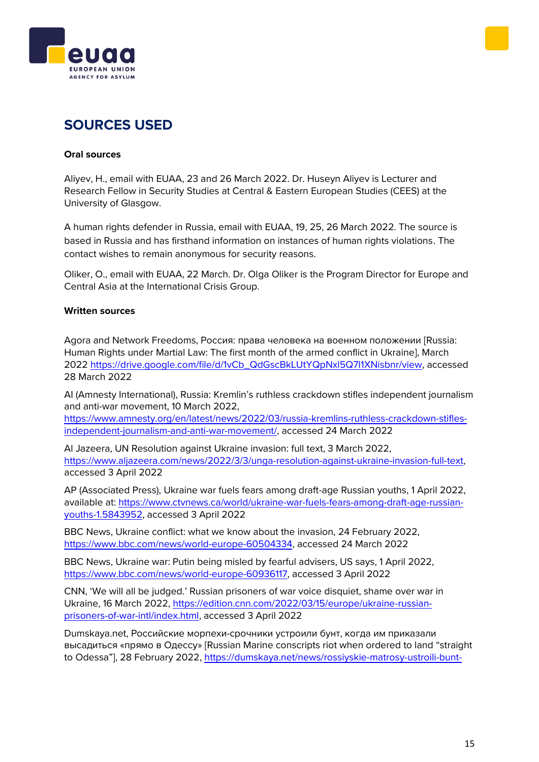



# **SOURCES USED**

## **Oral sources**

Aliyev, H., email with EUAA, 23 and 26 March 2022. Dr. Huseyn Aliyev is Lecturer and Research Fellow in Security Studies at Central & Eastern European Studies (CEES) at the University of Glasgow.

A human rights defender in Russia, email with EUAA, 19, 25, 26 March 2022. The source is based in Russia and has firsthand information on instances of human rights violations. The contact wishes to remain anonymous for security reasons.

Oliker, O., email with EUAA, 22 March. Dr. Olga Oliker is the Program Director for Europe and Central Asia at the International Crisis Group.

## **Written sources**

Agora and Network Freedoms, Россия: права человека на военном положении [Russia: Human Rights under Martial Law: The first month of the armed conflict in Ukraine], March 2022 [https://drive.google.com/file/d/1vCb\\_QdGscBkLUtYQpNxl5Q7I1XNisbnr/view,](https://drive.google.com/file/d/1vCb_QdGscBkLUtYQpNxl5Q7I1XNisbnr/view) accessed 28 March 2022

AI (Amnesty International), Russia: Kremlin's ruthless crackdown stifles independent journalism and anti-war movement, 10 March 2022,

[https://www.amnesty.org/en/latest/news/2022/03/russia-kremlins-ruthless-crackdown-stifles](https://www.amnesty.org/en/latest/news/2022/03/russia-kremlins-ruthless-crackdown-stifles-independent-journalism-and-anti-war-movement/)[independent-journalism-and-anti-war-movement/,](https://www.amnesty.org/en/latest/news/2022/03/russia-kremlins-ruthless-crackdown-stifles-independent-journalism-and-anti-war-movement/) accessed 24 March 2022

Al Jazeera, UN Resolution against Ukraine invasion: full text, 3 March 2022, [https://www.aljazeera.com/news/2022/3/3/unga-resolution-against-ukraine-invasion-full-text,](https://www.aljazeera.com/news/2022/3/3/unga-resolution-against-ukraine-invasion-full-text) accessed 3 April 2022

AP (Associated Press), Ukraine war fuels fears among draft-age Russian youths, 1 April 2022, available at: [https://www.ctvnews.ca/world/ukraine-war-fuels-fears-among-draft-age-russian](https://www.ctvnews.ca/world/ukraine-war-fuels-fears-among-draft-age-russian-youths-1.5843952)[youths-1.5843952,](https://www.ctvnews.ca/world/ukraine-war-fuels-fears-among-draft-age-russian-youths-1.5843952) accessed 3 April 2022

BBC News, Ukraine conflict: what we know about the invasion, 24 February 2022, [https://www.bbc.com/news/world-europe-60504334,](https://www.bbc.com/news/world-europe-60504334) accessed 24 March 2022

BBC News, Ukraine war: Putin being misled by fearful advisers, US says, 1 April 2022, [https://www.bbc.com/news/world-europe-60936117,](https://www.bbc.com/news/world-europe-60936117) accessed 3 April 2022

CNN, 'We will all be judged.' Russian prisoners of war voice disquiet, shame over war in Ukraine, 16 March 2022, [https://edition.cnn.com/2022/03/15/europe/ukraine-russian](https://edition.cnn.com/2022/03/15/europe/ukraine-russian-prisoners-of-war-intl/index.html)[prisoners-of-war-intl/index.html,](https://edition.cnn.com/2022/03/15/europe/ukraine-russian-prisoners-of-war-intl/index.html) accessed 3 April 2022

Dumskaya.net, Российские морпехи-срочники устроили бунт, когда им приказали высадиться «прямо в Одессу» [Russian Marine conscripts riot when ordered to land "straight to Odessa"], 28 February 2022, [https://dumskaya.net/news/rossiyskie-matrosy-ustroili-bunt-](https://dumskaya.net/news/rossiyskie-matrosy-ustroili-bunt-kogda-im-prikaz/?fbclid=IwAR3qQO-YgARAZFt1B1dqcSDzk8IjksKOLa75oOuMvBSlx2dv3axFNnrp1Qw)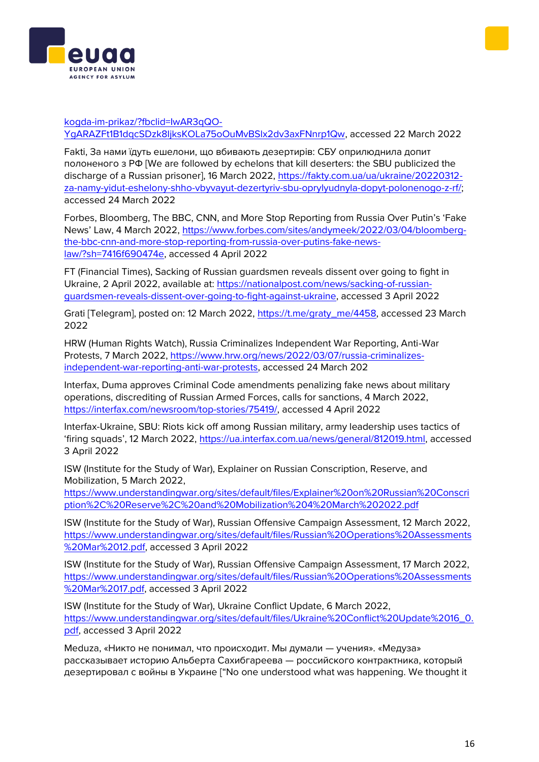



#### [kogda-im-prikaz/?fbclid=IwAR3qQO-](https://dumskaya.net/news/rossiyskie-matrosy-ustroili-bunt-kogda-im-prikaz/?fbclid=IwAR3qQO-YgARAZFt1B1dqcSDzk8IjksKOLa75oOuMvBSlx2dv3axFNnrp1Qw)

[YgARAZFt1B1dqcSDzk8IjksKOLa75oOuMvBSlx2dv3axFNnrp1Qw,](https://dumskaya.net/news/rossiyskie-matrosy-ustroili-bunt-kogda-im-prikaz/?fbclid=IwAR3qQO-YgARAZFt1B1dqcSDzk8IjksKOLa75oOuMvBSlx2dv3axFNnrp1Qw) accessed 22 March 2022

Fakti, За нами їдуть ешелони, що вбивають дезертирів: СБУ оприлюднила допит полоненого з РФ [We are followed by echelons that kill deserters: the SBU publicized the discharge of a Russian prisoner], 16 March 2022, [https://fakty.com.ua/ua/ukraine/20220312](https://fakty.com.ua/ua/ukraine/20220312-za-namy-yidut-eshelony-shho-vbyvayut-dezertyriv-sbu-oprylyudnyla-dopyt-polonenogo-z-rf/) [za-namy-yidut-eshelony-shho-vbyvayut-dezertyriv-sbu-oprylyudnyla-dopyt-polonenogo-z-rf/;](https://fakty.com.ua/ua/ukraine/20220312-za-namy-yidut-eshelony-shho-vbyvayut-dezertyriv-sbu-oprylyudnyla-dopyt-polonenogo-z-rf/) accessed 24 March 2022

Forbes, Bloomberg, The BBC, CNN, and More Stop Reporting from Russia Over Putin's 'Fake News' Law, 4 March 2022, [https://www.forbes.com/sites/andymeek/2022/03/04/bloomberg](https://www.forbes.com/sites/andymeek/2022/03/04/bloomberg-the-bbc-cnn-and-more-stop-reporting-from-russia-over-putins-fake-news-law/?sh=7416f690474e)[the-bbc-cnn-and-more-stop-reporting-from-russia-over-putins-fake-news](https://www.forbes.com/sites/andymeek/2022/03/04/bloomberg-the-bbc-cnn-and-more-stop-reporting-from-russia-over-putins-fake-news-law/?sh=7416f690474e)[law/?sh=7416f690474e,](https://www.forbes.com/sites/andymeek/2022/03/04/bloomberg-the-bbc-cnn-and-more-stop-reporting-from-russia-over-putins-fake-news-law/?sh=7416f690474e) accessed 4 April 2022

FT (Financial Times), Sacking of Russian guardsmen reveals dissent over going to fight in Ukraine, 2 April 2022, available at: [https://nationalpost.com/news/sacking-of-russian](https://nationalpost.com/news/sacking-of-russian-guardsmen-reveals-dissent-over-going-to-fight-against-ukraine)[guardsmen-reveals-dissent-over-going-to-fight-against-ukraine,](https://nationalpost.com/news/sacking-of-russian-guardsmen-reveals-dissent-over-going-to-fight-against-ukraine) accessed 3 April 2022

Grati [Telegram], posted on: 12 March 2022, [https://t.me/graty\\_me/4458,](https://t.me/graty_me/4458) accessed 23 March 2022

HRW (Human Rights Watch), Russia Criminalizes Independent War Reporting, Anti-War Protests, 7 March 2022, [https://www.hrw.org/news/2022/03/07/russia-criminalizes](https://www.hrw.org/news/2022/03/07/russia-criminalizes-independent-war-reporting-anti-war-protests)[independent-war-reporting-anti-war-protests,](https://www.hrw.org/news/2022/03/07/russia-criminalizes-independent-war-reporting-anti-war-protests) accessed 24 March 202

Interfax, Duma approves Criminal Code amendments penalizing fake news about military operations, discrediting of Russian Armed Forces, calls for sanctions, 4 March 2022, [https://interfax.com/newsroom/top-stories/75419/,](https://interfax.com/newsroom/top-stories/75419/) accessed 4 April 2022

Interfax-Ukraine, SBU: Riots kick off among Russian military, army leadership uses tactics of 'firing squads', 12 March 2022, [https://ua.interfax.com.ua/news/general/812019.html,](https://ua.interfax.com.ua/news/general/812019.html) accessed 3 April 2022

ISW (Institute for the Study of War), Explainer on Russian Conscription, Reserve, and Mobilization, 5 March 2022,

[https://www.understandingwar.org/sites/default/files/Explainer%20on%20Russian%20Conscri](https://www.understandingwar.org/sites/default/files/Explainer%20on%20Russian%20Conscription%2C%20Reserve%2C%20and%20Mobilization%204%20March%202022.pdf) [ption%2C%20Reserve%2C%20and%20Mobilization%204%20March%202022.pdf](https://www.understandingwar.org/sites/default/files/Explainer%20on%20Russian%20Conscription%2C%20Reserve%2C%20and%20Mobilization%204%20March%202022.pdf)

ISW (Institute for the Study of War), Russian Offensive Campaign Assessment, 12 March 2022, [https://www.understandingwar.org/sites/default/files/Russian%20Operations%20Assessments](https://www.understandingwar.org/sites/default/files/Russian%20Operations%20Assessments%20Mar%2012.pdf) [%20Mar%2012.pdf,](https://www.understandingwar.org/sites/default/files/Russian%20Operations%20Assessments%20Mar%2012.pdf) accessed 3 April 2022

ISW (Institute for the Study of War), Russian Offensive Campaign Assessment, 17 March 2022, [https://www.understandingwar.org/sites/default/files/Russian%20Operations%20Assessments](https://www.understandingwar.org/sites/default/files/Russian%20Operations%20Assessments%20Mar%2017.pdf) [%20Mar%2017.pdf,](https://www.understandingwar.org/sites/default/files/Russian%20Operations%20Assessments%20Mar%2017.pdf) accessed 3 April 2022

ISW (Institute for the Study of War), Ukraine Conflict Update, 6 March 2022, [https://www.understandingwar.org/sites/default/files/Ukraine%20Conflict%20Update%2016\\_0.](https://www.understandingwar.org/sites/default/files/Ukraine%20Conflict%20Update%2016_0.pdf) [pdf,](https://www.understandingwar.org/sites/default/files/Ukraine%20Conflict%20Update%2016_0.pdf) accessed 3 April 2022

Meduza, «Никто не понимал, что происходит. Мы думали — учения». «Медуза» рассказывает историю Альберта Сахибгареева — российского контрактника, который дезертировал с войны в Украине ["No one understood what was happening. We thought it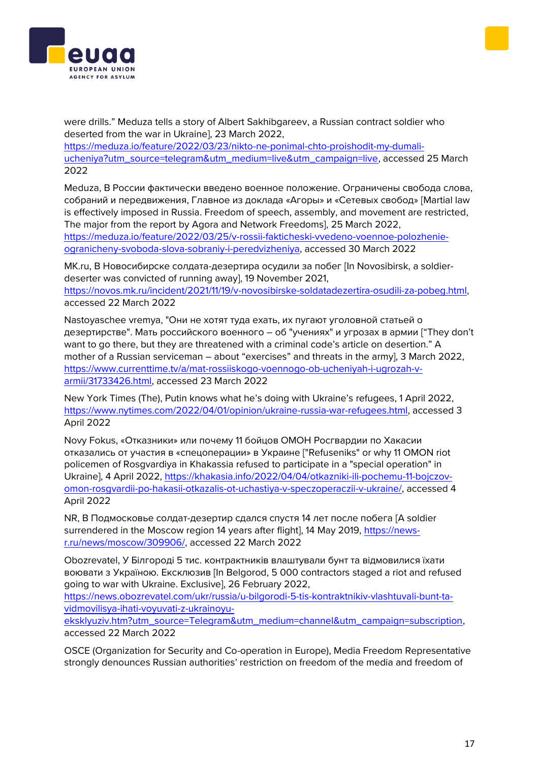



were drills." Meduza tells a story of Albert Sakhibgareev, a Russian contract soldier who deserted from the war in Ukraine], 23 March 2022,

[https://meduza.io/feature/2022/03/23/nikto-ne-ponimal-chto-proishodit-my-dumali](https://meduza.io/feature/2022/03/23/nikto-ne-ponimal-chto-proishodit-my-dumali-ucheniya?utm_source=telegram&utm_medium=live&utm_campaign=live)[ucheniya?utm\\_source=telegram&utm\\_medium=live&utm\\_campaign=live,](https://meduza.io/feature/2022/03/23/nikto-ne-ponimal-chto-proishodit-my-dumali-ucheniya?utm_source=telegram&utm_medium=live&utm_campaign=live) accessed 25 March 2022

Meduza, В России фактически введено военное положение. Ограничены свобода слова, собраний и передвижения, Главное из доклада «Агоры» и «Сетевых свобод» [Martial law is effectively imposed in Russia. Freedom of speech, assembly, and movement are restricted, The major from the report by Agora and Network Freedoms], 25 March 2022, [https://meduza.io/feature/2022/03/25/v-rossii-fakticheski-vvedeno-voennoe-polozhenie](https://meduza.io/feature/2022/03/25/v-rossii-fakticheski-vvedeno-voennoe-polozhenie-ogranicheny-svoboda-slova-sobraniy-i-peredvizheniya)[ogranicheny-svoboda-slova-sobraniy-i-peredvizheniya,](https://meduza.io/feature/2022/03/25/v-rossii-fakticheski-vvedeno-voennoe-polozhenie-ogranicheny-svoboda-slova-sobraniy-i-peredvizheniya) accessed 30 March 2022

MK.ru, В Новосибирске солдата-дезертира осудили за побег [In Novosibirsk, a soldierdeserter was convicted of running away], 19 November 2021, [https://novos.mk.ru/incident/2021/11/19/v-novosibirske-soldatadezertira-osudili-za-pobeg.html,](https://novos.mk.ru/incident/2021/11/19/v-novosibirske-soldatadezertira-osudili-za-pobeg.html) accessed 22 March 2022

Nastoyaschee vremya, "Они не хотят туда ехать, их пугают уголовной статьей о дезертирстве". Мать российского военного – об "учениях" и угрозах в армии ["They don't want to go there, but they are threatened with a criminal code's article on desertion." A mother of a Russian serviceman – about "exercises" and threats in the army], 3 March 2022, [https://www.currenttime.tv/a/mat-rossiiskogo-voennogo-ob-ucheniyah-i-ugrozah-v](https://www.currenttime.tv/a/mat-rossiiskogo-voennogo-ob-ucheniyah-i-ugrozah-v-armii/31733426.html)[armii/31733426.html,](https://www.currenttime.tv/a/mat-rossiiskogo-voennogo-ob-ucheniyah-i-ugrozah-v-armii/31733426.html) accessed 23 March 2022

New York Times (The), Putin knows what he's doing with Ukraine's refugees, 1 April 2022, [https://www.nytimes.com/2022/04/01/opinion/ukraine-russia-war-refugees.html,](https://www.nytimes.com/2022/04/01/opinion/ukraine-russia-war-refugees.html) accessed 3 April 2022

Novy Fokus, «Отказники» или почему 11 бойцов ОМОН Росгвардии по Хакасии отказались от участия в «спецоперации» в Украине ["Refuseniks" or why 11 OMON riot policemen of Rosgvardiya in Khakassia refused to participate in a "special operation" in Ukraine], 4 April 2022, [https://khakasia.info/2022/04/04/otkazniki-ili-pochemu-11-bojczov](https://khakasia.info/2022/04/04/otkazniki-ili-pochemu-11-bojczov-omon-rosgvardii-po-hakasii-otkazalis-ot-uchastiya-v-speczoperaczii-v-ukraine/)[omon-rosgvardii-po-hakasii-otkazalis-ot-uchastiya-v-speczoperaczii-v-ukraine/,](https://khakasia.info/2022/04/04/otkazniki-ili-pochemu-11-bojczov-omon-rosgvardii-po-hakasii-otkazalis-ot-uchastiya-v-speczoperaczii-v-ukraine/) accessed 4 April 2022

NR, В Подмосковье солдат-дезертир сдался спустя 14 лет после побега [A soldier surrendered in the Moscow region 14 years after flight], 14 May 2019, [https://news](https://news-r.ru/news/moscow/309906/)[r.ru/news/moscow/309906/,](https://news-r.ru/news/moscow/309906/) accessed 22 March 2022

Obozrevatel, У Білгороді 5 тис. контрактників влаштували бунт та відмовилися їхати воювати з Україною. Ексклюзив [In Belgorod, 5 000 contractors staged a riot and refused going to war with Ukraine. Exclusive], 26 February 2022,

[https://news.obozrevatel.com/ukr/russia/u-bilgorodi-5-tis-kontraktnikiv-vlashtuvali-bunt-ta](https://news.obozrevatel.com/ukr/russia/u-bilgorodi-5-tis-kontraktnikiv-vlashtuvali-bunt-ta-vidmovilisya-ihati-voyuvati-z-ukrainoyu-eksklyuziv.htm?utm_source=Telegram&utm_medium=channel&utm_campaign=subscription)[vidmovilisya-ihati-voyuvati-z-ukrainoyu-](https://news.obozrevatel.com/ukr/russia/u-bilgorodi-5-tis-kontraktnikiv-vlashtuvali-bunt-ta-vidmovilisya-ihati-voyuvati-z-ukrainoyu-eksklyuziv.htm?utm_source=Telegram&utm_medium=channel&utm_campaign=subscription)

[eksklyuziv.htm?utm\\_source=Telegram&utm\\_medium=channel&utm\\_campaign=subscription,](https://news.obozrevatel.com/ukr/russia/u-bilgorodi-5-tis-kontraktnikiv-vlashtuvali-bunt-ta-vidmovilisya-ihati-voyuvati-z-ukrainoyu-eksklyuziv.htm?utm_source=Telegram&utm_medium=channel&utm_campaign=subscription) accessed 22 March 2022

OSCE (Organization for Security and Co-operation in Europe), Media Freedom Representative strongly denounces Russian authorities' restriction on freedom of the media and freedom of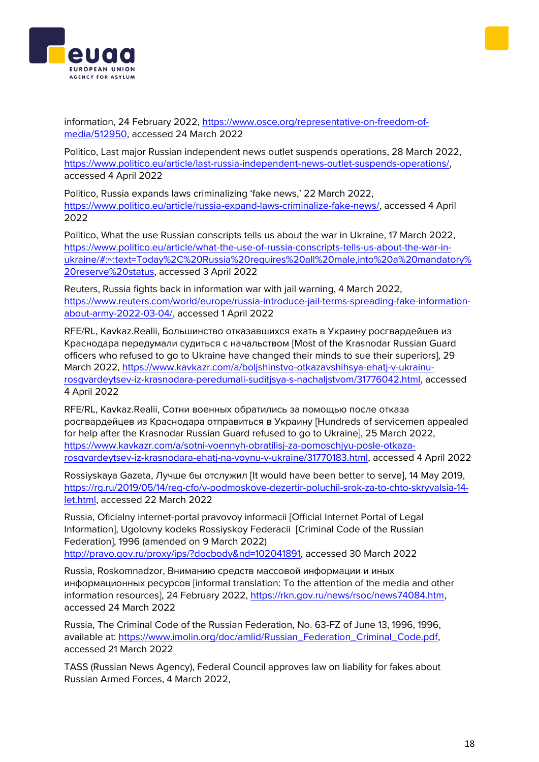



information, 24 February 2022, [https://www.osce.org/representative-on-freedom-of](https://www.osce.org/representative-on-freedom-of-media/512950)[media/512950,](https://www.osce.org/representative-on-freedom-of-media/512950) accessed 24 March 2022

Politico, Last major Russian independent news outlet suspends operations, 28 March 2022, [https://www.politico.eu/article/last-russia-independent-news-outlet-suspends-operations/,](https://www.politico.eu/article/last-russia-independent-news-outlet-suspends-operations/) accessed 4 April 2022

Politico, Russia expands laws criminalizing 'fake news,' 22 March 2022, [https://www.politico.eu/article/russia-expand-laws-criminalize-fake-news/,](https://www.politico.eu/article/russia-expand-laws-criminalize-fake-news/) accessed 4 April 2022

Politico, What the use Russian conscripts tells us about the war in Ukraine, 17 March 2022, [https://www.politico.eu/article/what-the-use-of-russia-conscripts-tells-us-about-the-war-in](https://www.politico.eu/article/what-the-use-of-russia-conscripts-tells-us-about-the-war-in-ukraine/#:~:text=Today%2C%20Russia%20requires%20all%20male,into%20a%20mandatory%20reserve%20status)[ukraine/#:~:text=Today%2C%20Russia%20requires%20all%20male,into%20a%20mandatory%](https://www.politico.eu/article/what-the-use-of-russia-conscripts-tells-us-about-the-war-in-ukraine/#:~:text=Today%2C%20Russia%20requires%20all%20male,into%20a%20mandatory%20reserve%20status) [20reserve%20status,](https://www.politico.eu/article/what-the-use-of-russia-conscripts-tells-us-about-the-war-in-ukraine/#:~:text=Today%2C%20Russia%20requires%20all%20male,into%20a%20mandatory%20reserve%20status) accessed 3 April 2022

Reuters, Russia fights back in information war with jail warning, 4 March 2022, [https://www.reuters.com/world/europe/russia-introduce-jail-terms-spreading-fake-information](https://www.reuters.com/world/europe/russia-introduce-jail-terms-spreading-fake-information-about-army-2022-03-04/)[about-army-2022-03-04/,](https://www.reuters.com/world/europe/russia-introduce-jail-terms-spreading-fake-information-about-army-2022-03-04/) accessed 1 April 2022

RFE/RL, Kavkaz.Realii, Большинство отказавшихся ехать в Украину росгвардейцев из Краснодара передумали судиться с начальством [Most of the Krasnodar Russian Guard officers who refused to go to Ukraine have changed their minds to sue their superiors], 29 March 2022, [https://www.kavkazr.com/a/boljshinstvo-otkazavshihsya-ehatj-v-ukrainu](https://www.kavkazr.com/a/boljshinstvo-otkazavshihsya-ehatj-v-ukrainu-rosgvardeytsev-iz-krasnodara-peredumali-suditjsya-s-nachaljstvom/31776042.html)[rosgvardeytsev-iz-krasnodara-peredumali-suditjsya-s-nachaljstvom/31776042.html,](https://www.kavkazr.com/a/boljshinstvo-otkazavshihsya-ehatj-v-ukrainu-rosgvardeytsev-iz-krasnodara-peredumali-suditjsya-s-nachaljstvom/31776042.html) accessed 4 April 2022

RFE/RL, Kavkaz.Realii, Сотни военных обратились за помощью после отказа росгвардейцев из Краснодара отправиться в Украину [Hundreds of servicemen appealed for help after the Krasnodar Russian Guard refused to go to Ukraine], 25 March 2022, [https://www.kavkazr.com/a/sotni-voennyh-obratilisj-za-pomoschjyu-posle-otkaza](https://www.kavkazr.com/a/sotni-voennyh-obratilisj-za-pomoschjyu-posle-otkaza-rosgvardeytsev-iz-krasnodara-ehatj-na-voynu-v-ukraine/31770183.html)[rosgvardeytsev-iz-krasnodara-ehatj-na-voynu-v-ukraine/31770183.html,](https://www.kavkazr.com/a/sotni-voennyh-obratilisj-za-pomoschjyu-posle-otkaza-rosgvardeytsev-iz-krasnodara-ehatj-na-voynu-v-ukraine/31770183.html) accessed 4 April 2022

Rossiyskaya Gazeta, Лучше бы отслужил [It would have been better to serve], 14 May 2019, [https://rg.ru/2019/05/14/reg-cfo/v-podmoskove-dezertir-poluchil-srok-za-to-chto-skryvalsia-14](https://rg.ru/2019/05/14/reg-cfo/v-podmoskove-dezertir-poluchil-srok-za-to-chto-skryvalsia-14-let.html) [let.html,](https://rg.ru/2019/05/14/reg-cfo/v-podmoskove-dezertir-poluchil-srok-za-to-chto-skryvalsia-14-let.html) accessed 22 March 2022

Russia, Oficialny internet-portal pravovoy informacii [Official Internet Portal of Legal Information], Ugolovny kodeks Rossiyskoy Federacii [Criminal Code of the Russian Federation], 1996 (amended on 9 March 2022) [http://pravo.gov.ru/proxy/ips/?docbody&nd=102041891,](http://pravo.gov.ru/proxy/ips/?docbody&nd=102041891) accessed 30 March 2022

Russia, Roskomnadzor, Вниманию средств массовой информации и иных информационных ресурсов [informal translation: To the attention of the media and other information resources], 24 February 2022, [https://rkn.gov.ru/news/rsoc/news74084.htm,](https://rkn.gov.ru/news/rsoc/news74084.htm) accessed 24 March 2022

Russia, The Criminal Code of the Russian Federation, No. 63-FZ of June 13, 1996, 1996, available at: [https://www.imolin.org/doc/amlid/Russian\\_Federation\\_Criminal\\_Code.pdf,](https://www.imolin.org/doc/amlid/Russian_Federation_Criminal_Code.pdf) accessed 21 March 2022

TASS (Russian News Agency), Federal Council approves law on liability for fakes about Russian Armed Forces, 4 March 2022,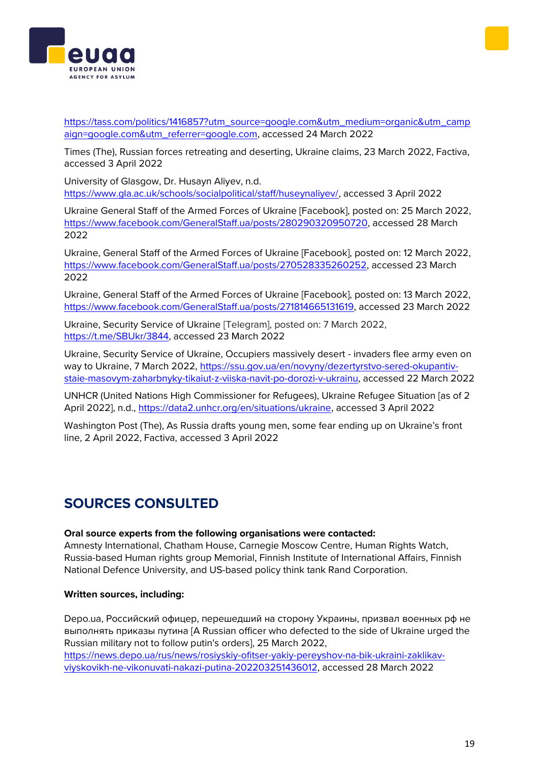



[https://tass.com/politics/1416857?utm\\_source=google.com&utm\\_medium=organic&utm\\_camp](https://tass.com/politics/1416857?utm_source=google.com&utm_medium=organic&utm_campaign=google.com&utm_referrer=google.com) [aign=google.com&utm\\_referrer=google.com,](https://tass.com/politics/1416857?utm_source=google.com&utm_medium=organic&utm_campaign=google.com&utm_referrer=google.com) accessed 24 March 2022

Times (The), Russian forces retreating and deserting, Ukraine claims, 23 March 2022, Factiva, accessed 3 April 2022

University of Glasgow, Dr. Husayn Aliyev, n.d. [https://www.gla.ac.uk/schools/socialpolitical/staff/huseynaliyev/,](https://www.gla.ac.uk/schools/socialpolitical/staff/huseynaliyev/) accessed 3 April 2022

Ukraine General Staff of the Armed Forces of Ukraine [Facebook], posted on: 25 March 2022, [https://www.facebook.com/GeneralStaff.ua/posts/280290320950720,](https://www.facebook.com/GeneralStaff.ua/posts/280290320950720) accessed 28 March 2022

Ukraine, General Staff of the Armed Forces of Ukraine [Facebook], posted on: 12 March 2022, [https://www.facebook.com/GeneralStaff.ua/posts/270528335260252,](https://www.facebook.com/GeneralStaff.ua/posts/270528335260252) accessed 23 March 2022

Ukraine, General Staff of the Armed Forces of Ukraine [Facebook], posted on: 13 March 2022, [https://www.facebook.com/GeneralStaff.ua/posts/271814665131619,](https://www.facebook.com/GeneralStaff.ua/posts/271814665131619) accessed 23 March 2022

Ukraine, Security Service of Ukraine [Telegram], posted on: 7 March 2022, [https://t.me/SBUkr/3844,](https://t.me/SBUkr/3844) accessed 23 March 2022

Ukraine, Security Service of Ukraine, Occupiers massively desert - invaders flee army even on way to Ukraine, 7 March 2022, [https://ssu.gov.ua/en/novyny/dezertyrstvo-sered-okupantiv](https://ssu.gov.ua/en/novyny/dezertyrstvo-sered-okupantiv-staie-masovym-zaharbnyky-tikaiut-z-viiska-navit-po-dorozi-v-ukrainu)[staie-masovym-zaharbnyky-tikaiut-z-viiska-navit-po-dorozi-v-ukrainu,](https://ssu.gov.ua/en/novyny/dezertyrstvo-sered-okupantiv-staie-masovym-zaharbnyky-tikaiut-z-viiska-navit-po-dorozi-v-ukrainu) accessed 22 March 2022

UNHCR (United Nations High Commissioner for Refugees), Ukraine Refugee Situation [as of 2 April 2022], n.d., [https://data2.unhcr.org/en/situations/ukraine,](https://data2.unhcr.org/en/situations/ukraine) accessed 3 April 2022

Washington Post (The), As Russia drafts young men, some fear ending up on Ukraine's front line, 2 April 2022, Factiva, accessed 3 April 2022

# **SOURCES CONSULTED**

#### **Oral source experts from the following organisations were contacted:**

Amnesty International, Chatham House, Carnegie Moscow Centre, Human Rights Watch, Russia-based Human rights group Memorial, Finnish Institute of International Affairs, Finnish National Defence University, and US-based policy think tank Rand Corporation.

## **Written sources, including:**

Depo.ua, Российский офицер, перешедший на сторону Украины, призвал военных рф не выполнять приказы путина [A Russian officer who defected to the side of Ukraine urged the Russian military not to follow putin's orders], 25 March 2022, [https://news.depo.ua/rus/news/rosiyskiy-ofitser-yakiy-pereyshov-na-bik-ukraini-zaklikav](https://news.depo.ua/rus/news/rosiyskiy-ofitser-yakiy-pereyshov-na-bik-ukraini-zaklikav-viyskovikh-ne-vikonuvati-nakazi-putina-202203251436012)[viyskovikh-ne-vikonuvati-nakazi-putina-202203251436012,](https://news.depo.ua/rus/news/rosiyskiy-ofitser-yakiy-pereyshov-na-bik-ukraini-zaklikav-viyskovikh-ne-vikonuvati-nakazi-putina-202203251436012) accessed 28 March 2022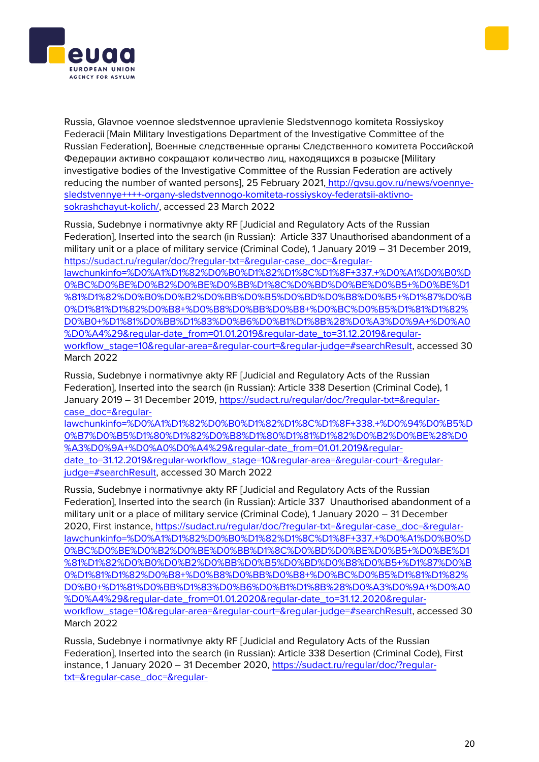



Russia, Glavnoe voennoe sledstvennoe upravlenie Sledstvennogo komiteta Rossiyskoy Federacii [Main Military Investigations Department of the Investigative Committee of the Russian Federation], Военные следственные органы Следственного комитета Российской Федерации активно сокращают количество лиц, находящихся в розыске [Military investigative bodies of the Investigative Committee of the Russian Federation are actively reducing the number of wanted persons], 25 February 2021, [http://gvsu.gov.ru/news/voennye](http://gvsu.gov.ru/news/voennye-sledstvennye++++-organy-sledstvennogo-komiteta-rossiyskoy-federatsii-aktivno-sokrashchayut-kolich/)[sledstvennye++++-organy-sledstvennogo-komiteta-rossiyskoy-federatsii-aktivno](http://gvsu.gov.ru/news/voennye-sledstvennye++++-organy-sledstvennogo-komiteta-rossiyskoy-federatsii-aktivno-sokrashchayut-kolich/)[sokrashchayut-kolich/,](http://gvsu.gov.ru/news/voennye-sledstvennye++++-organy-sledstvennogo-komiteta-rossiyskoy-federatsii-aktivno-sokrashchayut-kolich/) accessed 23 March 2022

Russia, Sudebnye i normativnye akty RF [Judicial and Regulatory Acts of the Russian Federation], Inserted into the search (in Russian): Article 337 Unauthorised abandonment of a military unit or a place of military service (Criminal Code), 1 January 2019 – 31 December 2019, [https://sudact.ru/regular/doc/?regular-txt=&regular-case\\_doc=&regular](https://sudact.ru/regular/doc/?regular-txt=®ular-case_doc=®ular-lawchunkinfo=%D0%A1%D1%82%D0%B0%D1%82%D1%8C%D1%8F+337.+%D0%A1%D0%B0%D0%BC%D0%BE%D0%B2%D0%BE%D0%BB%D1%8C%D0%BD%D0%BE%D0%B5+%D0%BE%D1%81%D1%82%D0%B0%D0%B2%D0%BB%D0%B5%D0%BD%D0%B8%D0%B5+%D1%87%D0%B0%D1%81%D1%82%D0%B8+%D0%B8%D0%BB%D0%B8+%D0%BC%D0%B5%D1%81%D1%82%D0%B0+%D1%81%D0%BB%D1%83%D0%B6%D0%B1%D1%8B%28%D0%A3%D0%9A+%D0%A0%D0%A4%29®ular-date_from=01.01.2019®ular-date_to=31.12.2019®ular-workflow_stage=10®ular-area=®ular-court=®ular-judge=#searchResult)[lawchunkinfo=%D0%A1%D1%82%D0%B0%D1%82%D1%8C%D1%8F+337.+%D0%A1%D0%B0%D](https://sudact.ru/regular/doc/?regular-txt=®ular-case_doc=®ular-lawchunkinfo=%D0%A1%D1%82%D0%B0%D1%82%D1%8C%D1%8F+337.+%D0%A1%D0%B0%D0%BC%D0%BE%D0%B2%D0%BE%D0%BB%D1%8C%D0%BD%D0%BE%D0%B5+%D0%BE%D1%81%D1%82%D0%B0%D0%B2%D0%BB%D0%B5%D0%BD%D0%B8%D0%B5+%D1%87%D0%B0%D1%81%D1%82%D0%B8+%D0%B8%D0%BB%D0%B8+%D0%BC%D0%B5%D1%81%D1%82%D0%B0+%D1%81%D0%BB%D1%83%D0%B6%D0%B1%D1%8B%28%D0%A3%D0%9A+%D0%A0%D0%A4%29®ular-date_from=01.01.2019®ular-date_to=31.12.2019®ular-workflow_stage=10®ular-area=®ular-court=®ular-judge=#searchResult) [0%BC%D0%BE%D0%B2%D0%BE%D0%BB%D1%8C%D0%BD%D0%BE%D0%B5+%D0%BE%D1](https://sudact.ru/regular/doc/?regular-txt=®ular-case_doc=®ular-lawchunkinfo=%D0%A1%D1%82%D0%B0%D1%82%D1%8C%D1%8F+337.+%D0%A1%D0%B0%D0%BC%D0%BE%D0%B2%D0%BE%D0%BB%D1%8C%D0%BD%D0%BE%D0%B5+%D0%BE%D1%81%D1%82%D0%B0%D0%B2%D0%BB%D0%B5%D0%BD%D0%B8%D0%B5+%D1%87%D0%B0%D1%81%D1%82%D0%B8+%D0%B8%D0%BB%D0%B8+%D0%BC%D0%B5%D1%81%D1%82%D0%B0+%D1%81%D0%BB%D1%83%D0%B6%D0%B1%D1%8B%28%D0%A3%D0%9A+%D0%A0%D0%A4%29®ular-date_from=01.01.2019®ular-date_to=31.12.2019®ular-workflow_stage=10®ular-area=®ular-court=®ular-judge=#searchResult) [%81%D1%82%D0%B0%D0%B2%D0%BB%D0%B5%D0%BD%D0%B8%D0%B5+%D1%87%D0%B](https://sudact.ru/regular/doc/?regular-txt=®ular-case_doc=®ular-lawchunkinfo=%D0%A1%D1%82%D0%B0%D1%82%D1%8C%D1%8F+337.+%D0%A1%D0%B0%D0%BC%D0%BE%D0%B2%D0%BE%D0%BB%D1%8C%D0%BD%D0%BE%D0%B5+%D0%BE%D1%81%D1%82%D0%B0%D0%B2%D0%BB%D0%B5%D0%BD%D0%B8%D0%B5+%D1%87%D0%B0%D1%81%D1%82%D0%B8+%D0%B8%D0%BB%D0%B8+%D0%BC%D0%B5%D1%81%D1%82%D0%B0+%D1%81%D0%BB%D1%83%D0%B6%D0%B1%D1%8B%28%D0%A3%D0%9A+%D0%A0%D0%A4%29®ular-date_from=01.01.2019®ular-date_to=31.12.2019®ular-workflow_stage=10®ular-area=®ular-court=®ular-judge=#searchResult) [0%D1%81%D1%82%D0%B8+%D0%B8%D0%BB%D0%B8+%D0%BC%D0%B5%D1%81%D1%82%](https://sudact.ru/regular/doc/?regular-txt=®ular-case_doc=®ular-lawchunkinfo=%D0%A1%D1%82%D0%B0%D1%82%D1%8C%D1%8F+337.+%D0%A1%D0%B0%D0%BC%D0%BE%D0%B2%D0%BE%D0%BB%D1%8C%D0%BD%D0%BE%D0%B5+%D0%BE%D1%81%D1%82%D0%B0%D0%B2%D0%BB%D0%B5%D0%BD%D0%B8%D0%B5+%D1%87%D0%B0%D1%81%D1%82%D0%B8+%D0%B8%D0%BB%D0%B8+%D0%BC%D0%B5%D1%81%D1%82%D0%B0+%D1%81%D0%BB%D1%83%D0%B6%D0%B1%D1%8B%28%D0%A3%D0%9A+%D0%A0%D0%A4%29®ular-date_from=01.01.2019®ular-date_to=31.12.2019®ular-workflow_stage=10®ular-area=®ular-court=®ular-judge=#searchResult) [D0%B0+%D1%81%D0%BB%D1%83%D0%B6%D0%B1%D1%8B%28%D0%A3%D0%9A+%D0%A0](https://sudact.ru/regular/doc/?regular-txt=®ular-case_doc=®ular-lawchunkinfo=%D0%A1%D1%82%D0%B0%D1%82%D1%8C%D1%8F+337.+%D0%A1%D0%B0%D0%BC%D0%BE%D0%B2%D0%BE%D0%BB%D1%8C%D0%BD%D0%BE%D0%B5+%D0%BE%D1%81%D1%82%D0%B0%D0%B2%D0%BB%D0%B5%D0%BD%D0%B8%D0%B5+%D1%87%D0%B0%D1%81%D1%82%D0%B8+%D0%B8%D0%BB%D0%B8+%D0%BC%D0%B5%D1%81%D1%82%D0%B0+%D1%81%D0%BB%D1%83%D0%B6%D0%B1%D1%8B%28%D0%A3%D0%9A+%D0%A0%D0%A4%29®ular-date_from=01.01.2019®ular-date_to=31.12.2019®ular-workflow_stage=10®ular-area=®ular-court=®ular-judge=#searchResult) %D0%A4%29&reqular-date\_from=01.01.2019&reqular-date\_to=31.12.2019&reqular[workflow\\_stage=10&regular-area=&regular-court=&regular-judge=#searchResult,](https://sudact.ru/regular/doc/?regular-txt=®ular-case_doc=®ular-lawchunkinfo=%D0%A1%D1%82%D0%B0%D1%82%D1%8C%D1%8F+337.+%D0%A1%D0%B0%D0%BC%D0%BE%D0%B2%D0%BE%D0%BB%D1%8C%D0%BD%D0%BE%D0%B5+%D0%BE%D1%81%D1%82%D0%B0%D0%B2%D0%BB%D0%B5%D0%BD%D0%B8%D0%B5+%D1%87%D0%B0%D1%81%D1%82%D0%B8+%D0%B8%D0%BB%D0%B8+%D0%BC%D0%B5%D1%81%D1%82%D0%B0+%D1%81%D0%BB%D1%83%D0%B6%D0%B1%D1%8B%28%D0%A3%D0%9A+%D0%A0%D0%A4%29®ular-date_from=01.01.2019®ular-date_to=31.12.2019®ular-workflow_stage=10®ular-area=®ular-court=®ular-judge=#searchResult) accessed 30 March 2022

Russia, Sudebnye i normativnye akty RF [Judicial and Regulatory Acts of the Russian Federation], Inserted into the search (in Russian): Article 338 Desertion (Criminal Code), 1 January 2019 – 31 December 2019, [https://sudact.ru/regular/doc/?regular-txt=&regular](https://sudact.ru/regular/doc/?regular-txt=®ular-case_doc=®ular-lawchunkinfo=%D0%A1%D1%82%D0%B0%D1%82%D1%8C%D1%8F+338.+%D0%94%D0%B5%D0%B7%D0%B5%D1%80%D1%82%D0%B8%D1%80%D1%81%D1%82%D0%B2%D0%BE%28%D0%A3%D0%9A+%D0%A0%D0%A4%29®ular-date_from=01.01.2019®ular-date_to=31.12.2019®ular-workflow_stage=10®ular-area=®ular-court=®ular-judge=#searchResult)[case\\_doc=&regular-](https://sudact.ru/regular/doc/?regular-txt=®ular-case_doc=®ular-lawchunkinfo=%D0%A1%D1%82%D0%B0%D1%82%D1%8C%D1%8F+338.+%D0%94%D0%B5%D0%B7%D0%B5%D1%80%D1%82%D0%B8%D1%80%D1%81%D1%82%D0%B2%D0%BE%28%D0%A3%D0%9A+%D0%A0%D0%A4%29®ular-date_from=01.01.2019®ular-date_to=31.12.2019®ular-workflow_stage=10®ular-area=®ular-court=®ular-judge=#searchResult)

[lawchunkinfo=%D0%A1%D1%82%D0%B0%D1%82%D1%8C%D1%8F+338.+%D0%94%D0%B5%D](https://sudact.ru/regular/doc/?regular-txt=®ular-case_doc=®ular-lawchunkinfo=%D0%A1%D1%82%D0%B0%D1%82%D1%8C%D1%8F+338.+%D0%94%D0%B5%D0%B7%D0%B5%D1%80%D1%82%D0%B8%D1%80%D1%81%D1%82%D0%B2%D0%BE%28%D0%A3%D0%9A+%D0%A0%D0%A4%29®ular-date_from=01.01.2019®ular-date_to=31.12.2019®ular-workflow_stage=10®ular-area=®ular-court=®ular-judge=#searchResult) [0%B7%D0%B5%D1%80%D1%82%D0%B8%D1%80%D1%81%D1%82%D0%B2%D0%BE%28%D0](https://sudact.ru/regular/doc/?regular-txt=®ular-case_doc=®ular-lawchunkinfo=%D0%A1%D1%82%D0%B0%D1%82%D1%8C%D1%8F+338.+%D0%94%D0%B5%D0%B7%D0%B5%D1%80%D1%82%D0%B8%D1%80%D1%81%D1%82%D0%B2%D0%BE%28%D0%A3%D0%9A+%D0%A0%D0%A4%29®ular-date_from=01.01.2019®ular-date_to=31.12.2019®ular-workflow_stage=10®ular-area=®ular-court=®ular-judge=#searchResult) [%A3%D0%9A+%D0%A0%D0%A4%29&regular-date\\_from=01.01.2019&regular](https://sudact.ru/regular/doc/?regular-txt=®ular-case_doc=®ular-lawchunkinfo=%D0%A1%D1%82%D0%B0%D1%82%D1%8C%D1%8F+338.+%D0%94%D0%B5%D0%B7%D0%B5%D1%80%D1%82%D0%B8%D1%80%D1%81%D1%82%D0%B2%D0%BE%28%D0%A3%D0%9A+%D0%A0%D0%A4%29®ular-date_from=01.01.2019®ular-date_to=31.12.2019®ular-workflow_stage=10®ular-area=®ular-court=®ular-judge=#searchResult)[date\\_to=31.12.2019&regular-workflow\\_stage=10&regular-area=&regular-court=&regular](https://sudact.ru/regular/doc/?regular-txt=®ular-case_doc=®ular-lawchunkinfo=%D0%A1%D1%82%D0%B0%D1%82%D1%8C%D1%8F+338.+%D0%94%D0%B5%D0%B7%D0%B5%D1%80%D1%82%D0%B8%D1%80%D1%81%D1%82%D0%B2%D0%BE%28%D0%A3%D0%9A+%D0%A0%D0%A4%29®ular-date_from=01.01.2019®ular-date_to=31.12.2019®ular-workflow_stage=10®ular-area=®ular-court=®ular-judge=#searchResult)[judge=#searchResult,](https://sudact.ru/regular/doc/?regular-txt=®ular-case_doc=®ular-lawchunkinfo=%D0%A1%D1%82%D0%B0%D1%82%D1%8C%D1%8F+338.+%D0%94%D0%B5%D0%B7%D0%B5%D1%80%D1%82%D0%B8%D1%80%D1%81%D1%82%D0%B2%D0%BE%28%D0%A3%D0%9A+%D0%A0%D0%A4%29®ular-date_from=01.01.2019®ular-date_to=31.12.2019®ular-workflow_stage=10®ular-area=®ular-court=®ular-judge=#searchResult) accessed 30 March 2022

Russia, Sudebnye i normativnye akty RF [Judicial and Regulatory Acts of the Russian Federation], Inserted into the search (in Russian): Article 337 Unauthorised abandonment of a military unit or a place of military service (Criminal Code), 1 January 2020 – 31 December 2020, First instance, [https://sudact.ru/regular/doc/?regular-txt=&regular-case\\_doc=&regular](https://sudact.ru/regular/doc/?regular-txt=®ular-case_doc=®ular-lawchunkinfo=%D0%A1%D1%82%D0%B0%D1%82%D1%8C%D1%8F+337.+%D0%A1%D0%B0%D0%BC%D0%BE%D0%B2%D0%BE%D0%BB%D1%8C%D0%BD%D0%BE%D0%B5+%D0%BE%D1%81%D1%82%D0%B0%D0%B2%D0%BB%D0%B5%D0%BD%D0%B8%D0%B5+%D1%87%D0%B0%D1%81%D1%82%D0%B8+%D0%B8%D0%BB%D0%B8+%D0%BC%D0%B5%D1%81%D1%82%D0%B0+%D1%81%D0%BB%D1%83%D0%B6%D0%B1%D1%8B%28%D0%A3%D0%9A+%D0%A0%D0%A4%29®ular-date_from=01.01.2020®ular-date_to=31.12.2020®ular-workflow_stage=10®ular-area=®ular-court=®ular-judge=#searchResult)[lawchunkinfo=%D0%A1%D1%82%D0%B0%D1%82%D1%8C%D1%8F+337.+%D0%A1%D0%B0%D](https://sudact.ru/regular/doc/?regular-txt=®ular-case_doc=®ular-lawchunkinfo=%D0%A1%D1%82%D0%B0%D1%82%D1%8C%D1%8F+337.+%D0%A1%D0%B0%D0%BC%D0%BE%D0%B2%D0%BE%D0%BB%D1%8C%D0%BD%D0%BE%D0%B5+%D0%BE%D1%81%D1%82%D0%B0%D0%B2%D0%BB%D0%B5%D0%BD%D0%B8%D0%B5+%D1%87%D0%B0%D1%81%D1%82%D0%B8+%D0%B8%D0%BB%D0%B8+%D0%BC%D0%B5%D1%81%D1%82%D0%B0+%D1%81%D0%BB%D1%83%D0%B6%D0%B1%D1%8B%28%D0%A3%D0%9A+%D0%A0%D0%A4%29®ular-date_from=01.01.2020®ular-date_to=31.12.2020®ular-workflow_stage=10®ular-area=®ular-court=®ular-judge=#searchResult) [0%BC%D0%BE%D0%B2%D0%BE%D0%BB%D1%8C%D0%BD%D0%BE%D0%B5+%D0%BE%D1](https://sudact.ru/regular/doc/?regular-txt=®ular-case_doc=®ular-lawchunkinfo=%D0%A1%D1%82%D0%B0%D1%82%D1%8C%D1%8F+337.+%D0%A1%D0%B0%D0%BC%D0%BE%D0%B2%D0%BE%D0%BB%D1%8C%D0%BD%D0%BE%D0%B5+%D0%BE%D1%81%D1%82%D0%B0%D0%B2%D0%BB%D0%B5%D0%BD%D0%B8%D0%B5+%D1%87%D0%B0%D1%81%D1%82%D0%B8+%D0%B8%D0%BB%D0%B8+%D0%BC%D0%B5%D1%81%D1%82%D0%B0+%D1%81%D0%BB%D1%83%D0%B6%D0%B1%D1%8B%28%D0%A3%D0%9A+%D0%A0%D0%A4%29®ular-date_from=01.01.2020®ular-date_to=31.12.2020®ular-workflow_stage=10®ular-area=®ular-court=®ular-judge=#searchResult) [%81%D1%82%D0%B0%D0%B2%D0%BB%D0%B5%D0%BD%D0%B8%D0%B5+%D1%87%D0%B](https://sudact.ru/regular/doc/?regular-txt=®ular-case_doc=®ular-lawchunkinfo=%D0%A1%D1%82%D0%B0%D1%82%D1%8C%D1%8F+337.+%D0%A1%D0%B0%D0%BC%D0%BE%D0%B2%D0%BE%D0%BB%D1%8C%D0%BD%D0%BE%D0%B5+%D0%BE%D1%81%D1%82%D0%B0%D0%B2%D0%BB%D0%B5%D0%BD%D0%B8%D0%B5+%D1%87%D0%B0%D1%81%D1%82%D0%B8+%D0%B8%D0%BB%D0%B8+%D0%BC%D0%B5%D1%81%D1%82%D0%B0+%D1%81%D0%BB%D1%83%D0%B6%D0%B1%D1%8B%28%D0%A3%D0%9A+%D0%A0%D0%A4%29®ular-date_from=01.01.2020®ular-date_to=31.12.2020®ular-workflow_stage=10®ular-area=®ular-court=®ular-judge=#searchResult) [0%D1%81%D1%82%D0%B8+%D0%B8%D0%BB%D0%B8+%D0%BC%D0%B5%D1%81%D1%82%](https://sudact.ru/regular/doc/?regular-txt=®ular-case_doc=®ular-lawchunkinfo=%D0%A1%D1%82%D0%B0%D1%82%D1%8C%D1%8F+337.+%D0%A1%D0%B0%D0%BC%D0%BE%D0%B2%D0%BE%D0%BB%D1%8C%D0%BD%D0%BE%D0%B5+%D0%BE%D1%81%D1%82%D0%B0%D0%B2%D0%BB%D0%B5%D0%BD%D0%B8%D0%B5+%D1%87%D0%B0%D1%81%D1%82%D0%B8+%D0%B8%D0%BB%D0%B8+%D0%BC%D0%B5%D1%81%D1%82%D0%B0+%D1%81%D0%BB%D1%83%D0%B6%D0%B1%D1%8B%28%D0%A3%D0%9A+%D0%A0%D0%A4%29®ular-date_from=01.01.2020®ular-date_to=31.12.2020®ular-workflow_stage=10®ular-area=®ular-court=®ular-judge=#searchResult) [D0%B0+%D1%81%D0%BB%D1%83%D0%B6%D0%B1%D1%8B%28%D0%A3%D0%9A+%D0%A0](https://sudact.ru/regular/doc/?regular-txt=®ular-case_doc=®ular-lawchunkinfo=%D0%A1%D1%82%D0%B0%D1%82%D1%8C%D1%8F+337.+%D0%A1%D0%B0%D0%BC%D0%BE%D0%B2%D0%BE%D0%BB%D1%8C%D0%BD%D0%BE%D0%B5+%D0%BE%D1%81%D1%82%D0%B0%D0%B2%D0%BB%D0%B5%D0%BD%D0%B8%D0%B5+%D1%87%D0%B0%D1%81%D1%82%D0%B8+%D0%B8%D0%BB%D0%B8+%D0%BC%D0%B5%D1%81%D1%82%D0%B0+%D1%81%D0%BB%D1%83%D0%B6%D0%B1%D1%8B%28%D0%A3%D0%9A+%D0%A0%D0%A4%29®ular-date_from=01.01.2020®ular-date_to=31.12.2020®ular-workflow_stage=10®ular-area=®ular-court=®ular-judge=#searchResult) [%D0%A4%29&regular-date\\_from=01.01.2020&regular-date\\_to=31.12.2020&regular](https://sudact.ru/regular/doc/?regular-txt=®ular-case_doc=®ular-lawchunkinfo=%D0%A1%D1%82%D0%B0%D1%82%D1%8C%D1%8F+337.+%D0%A1%D0%B0%D0%BC%D0%BE%D0%B2%D0%BE%D0%BB%D1%8C%D0%BD%D0%BE%D0%B5+%D0%BE%D1%81%D1%82%D0%B0%D0%B2%D0%BB%D0%B5%D0%BD%D0%B8%D0%B5+%D1%87%D0%B0%D1%81%D1%82%D0%B8+%D0%B8%D0%BB%D0%B8+%D0%BC%D0%B5%D1%81%D1%82%D0%B0+%D1%81%D0%BB%D1%83%D0%B6%D0%B1%D1%8B%28%D0%A3%D0%9A+%D0%A0%D0%A4%29®ular-date_from=01.01.2020®ular-date_to=31.12.2020®ular-workflow_stage=10®ular-area=®ular-court=®ular-judge=#searchResult)[workflow\\_stage=10&regular-area=&regular-court=&regular-judge=#searchResult,](https://sudact.ru/regular/doc/?regular-txt=®ular-case_doc=®ular-lawchunkinfo=%D0%A1%D1%82%D0%B0%D1%82%D1%8C%D1%8F+337.+%D0%A1%D0%B0%D0%BC%D0%BE%D0%B2%D0%BE%D0%BB%D1%8C%D0%BD%D0%BE%D0%B5+%D0%BE%D1%81%D1%82%D0%B0%D0%B2%D0%BB%D0%B5%D0%BD%D0%B8%D0%B5+%D1%87%D0%B0%D1%81%D1%82%D0%B8+%D0%B8%D0%BB%D0%B8+%D0%BC%D0%B5%D1%81%D1%82%D0%B0+%D1%81%D0%BB%D1%83%D0%B6%D0%B1%D1%8B%28%D0%A3%D0%9A+%D0%A0%D0%A4%29®ular-date_from=01.01.2020®ular-date_to=31.12.2020®ular-workflow_stage=10®ular-area=®ular-court=®ular-judge=#searchResult) accessed 30 March 2022

Russia, Sudebnye i normativnye akty RF [Judicial and Regulatory Acts of the Russian Federation], Inserted into the search (in Russian): Article 338 Desertion (Criminal Code), First instance, 1 January 2020 – 31 December 2020, [https://sudact.ru/regular/doc/?regular](https://sudact.ru/regular/doc/?regular-txt=®ular-case_doc=®ular-lawchunkinfo=%D0%A1%D1%82%D0%B0%D1%82%D1%8C%D1%8F+338.+%D0%94%D0%B5%D0%B7%D0%B5%D1%80%D1%82%D0%B8%D1%80%D1%81%D1%82%D0%B2%D0%BE%28%D0%A3%D0%9A+%D0%A0%D0%A4%29®ular-date_from=01.01.2020®ular-date_to=31.12.2020®ular-workflow_stage=10®ular-area=®ular-court=®ular-judge=#searchResult)[txt=&regular-case\\_doc=&regular-](https://sudact.ru/regular/doc/?regular-txt=®ular-case_doc=®ular-lawchunkinfo=%D0%A1%D1%82%D0%B0%D1%82%D1%8C%D1%8F+338.+%D0%94%D0%B5%D0%B7%D0%B5%D1%80%D1%82%D0%B8%D1%80%D1%81%D1%82%D0%B2%D0%BE%28%D0%A3%D0%9A+%D0%A0%D0%A4%29®ular-date_from=01.01.2020®ular-date_to=31.12.2020®ular-workflow_stage=10®ular-area=®ular-court=®ular-judge=#searchResult)